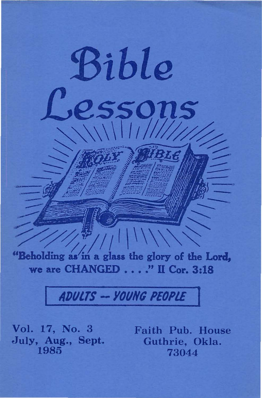"Beholding as in a glass the glory of the Lord, we are CHANGED . . . . " II Cor. 3:18

Bible

essons

# ADULTS -- YOUNG PEOPLE

Vol. 17, No. 3 July, Aug., Sept. 1985

Faith Pub. House Guthrie, Okla. 73044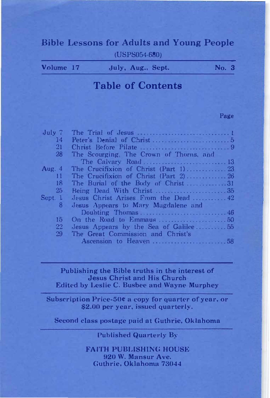# Bible Lessons for Adults and Young People <USPS054-680)

| July, Aug., Sept. | Volume 17 |  |  |  | No. 3 |  |
|-------------------|-----------|--|--|--|-------|--|
|-------------------|-----------|--|--|--|-------|--|

# Table of Contents

#### Page

| The Scourging. The Crown of Thorns, and    |                     |
|--------------------------------------------|---------------------|
|                                            |                     |
|                                            |                     |
|                                            |                     |
| The Burial of the Body of Christ31         |                     |
|                                            |                     |
| Jesus Christ Arises From the Dead $\ldots$ |                     |
| Jesus Appears to Mary Magdalene and        |                     |
|                                            |                     |
|                                            |                     |
| Jesus Appears by the Sea of Galilee55      |                     |
| The Great Commission and Christ's          |                     |
|                                            |                     |
|                                            | The Calvary Road 13 |

#### Publishing the Bible truths in the interest of Jesus Christ and His Church Edited by Leslie C. Busbee and Wayne Murphey

Subscription Price- $50$ e a copy for quarter of year, or \$2.00 per year, issued quarterly.

Second class postage paid at Guthrie, Oklahoma

Published Quarterly By

FAITH PUBLISHING HOUSE 920 W. Mansur Ave. Guthrie, Oklahoma 73044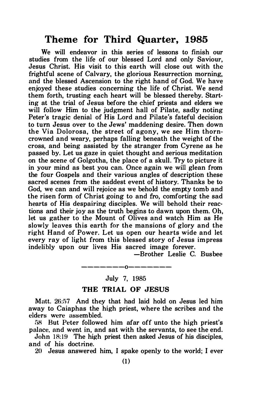## Theme for Third Quarter, 1985

We will endeavor in this series of lessons to finish our studies from the life of our blessed Lord and only Saviour, Jesus Christ. His visit to this earth will close out with the frightful scene of Calvary, the glorious Resurrection morning, and the blessed Ascension to the right hand of God. We have enjoyed these studies concerning the life of Christ. We send them forth, trusting each heart will be blessed thereby. Starting at the trial of Jesus before the chief priests and elders we will follow Him to the judgment hall of Pilate, sadly noting Peter's tragic denial of His Lord and Pilate's fateful decision to tum Jesus over to the Jews' maddening desire. Then down the Via Dolorosa, the street of agony, we see Him thorncrowned and weary, perhaps falling beneath the weight of the cross, and being assisted by the stranger from Cyrene as he passed by. Let us gaze in quiet thought and serious meditation on the scene of Golgotha, the place of a skull. Try to picture it in your mind as best you can. Once again we will glean from the four Gospels and their various angles of description these sacred scenes from the saddest event of history. Thanks be to God, we can and will rejoice as we behold the empty tomb and the risen form of Christ going to and fro, comforting the sad hearts of His despairing disciples. We will behold their reactions and their joy as the truth begins to dawn upon them. Oh, let us gather to the Mount of Olives and watch Him as He slowly leaves this earth for the mansions of glory and the right Hand of Power. Let us open our hearts wide and let every ray of light from this blessed story of Jesus impress indelibly upon our lives His sacred image forever.

-Brother Leslie C. Busbee

### -------0------- July 7, 1985

#### THE TRIAL OF JESUS

Matt. 26:57 And they that had laid hold on Jesus led him away to Caiaphas the high priest, where the scribes and the elders were assembled.

58 But Peter followed him afar off unto the high priest's palace, and went in, and sat with the servants, to see the end.

John 18:19 The high priest then asked Jesus of his disciples. and of his doctrine.

20 Jesus answered him, I spake openly to the world; I ever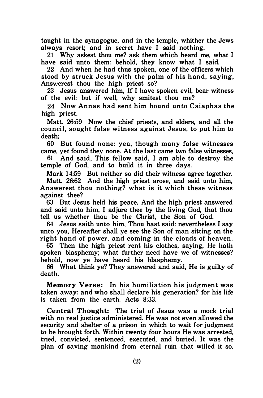taught in the synagogue, and in the temple, whither the Jews always resort; and in secret have I said nothing.

21 Why askest thou me? ask them which heard me, what I have said unto them: behold, they know what I said.

22 And when he had thus spoken, one of the officers which stood by struck Jesus with the palm of his hand, saying, Answerest thou the high priest so?

23 Jesus answered him, If I have spoken evil, bear witness of the evil: but if well, why smitest thou me?

24 Now Annas had sent him bound unto Caiaphas the high priest.

Matt. 26:59 Now the chief priests, and elders, and all the council, sought false witness against Jesus, to put him to death;

60 But found none: yea, though many false witnesses came, yet found they none. At the last came two false witnesses,

61 And said, This fellow said, I am able to destroy the temple of God, and to build it in three days.

Mark 14:59 But neither so did their witness agree together.

Matt. 26:62 And the high priest arose, and said unto him, Answerest thou nothing? what is it which these witness against thee?

63 But Jesus held his peace. And the high priest answered and said unto him, I adjure thee by the living God, that thou tell us whether thou be the Christ, the Son of God.

64 Jesus saith unto him, Thou hast said: nevertheless I say unto you, Hereafter shall ye see the Son of man sitting on the right hand of power, and coming in the clouds of heaven.

65 Then the high priest rent his clothes, saying, He hath spoken blasphemy; what further need have we of witnesses? behold, now ye have heard his blasphemy.

66 What think ye? They answered and said, He is guilty of death.

Memory Verse: In his humiliation his judgment was taken away: and who shall declare his generation? for his life is taken from the earth. Acts 8:33.

Central Thought: The trial of Jesus was a mock trial with no real justice administered. He was not even allowed the security and shelter of a prison in which to wait for judgment to be brought forth. Within twenty four hours He was arrested, tried, convicted, sentenced, executed, and buried. It was the plan of saving mankind from eternal ruin that willed it so.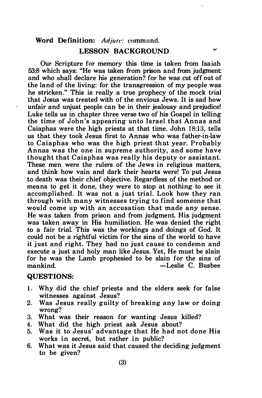#### Word Definition: Adjure: command.

#### LESSON BACKGROUND

6A

Our Scripture for memory this time is taken from Isaiah 53:8 which says: "He was taken from prison and from judgment: and who shall declare his generation? for he was cut off out of the land of the living: for the transgression of my people was he stricken." This is really a true prophecy of the mock trial that Jesus was treated with of the envious Jews. It is sad how unfair and unjust people can be in their jealousy and prejudice! Luke tells us in chapter three verse two of his Gospel in telling the time of John's appearing unto Israel that Annas and Caiaphas were the high priests at that time. John 18:13, tells us that they took Jesus first to Annas who was father-in-law to Caiaphas who was the high priest that year. Probably Annas was the one in supreme authority, and some have thought that C aiaphas was really his deputy or assistant. These men were the rulers of the Jews in religious matters, and think how vain and dark their hearts were! To put Jesus to death was their chief objective. Regardless of the method or means to get it done, they were to stop at nothing to see it accomplished. It was not a just trial. Look how they ran through with many witnesses trying to find someone that would come up with an accusation that made any sense. He was taken from prison and from judgment. His judgment was taken away in His humiliation. He was denied the right to a fair trial. This was the workings and doings of God. It could not be a rightful victim for the sins of the world to have it just and right. They had no just cause to condemn and execute a just and holy man like Jesus. Yet, He must be slain for he was the Lamb prophesied to be slain for the sins of mankind. - C. Busbee

### QUESTIONS:

- 1. Why did the chief priests and the elders seek for false witnesses against Jesus?
- 2. Was Jesus really guilty of breaking any law or doing wrong?
- 3. What was their reason for wanting Jesus killed?
- 4. What did the high priest ask Jesus about?
- 5. Was it to Jesus' advantage that He had not done His works in secret, but rather in public?
- 6. What was it Jesus said that caused the deciding judgment to be given?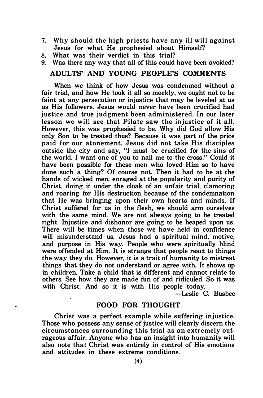- 7. Why should the high priests have any ill will against Jesus for what He prophesied about Himself?
- 8. What was their verdict in this trial?
- 9. Was there any way that all of this could have been avoided?

### ADULTS' AND YOUNG PEOPLE'S COMMENTS

When we think of how Jesus was condemned without a fair trial, and how He took it all so meekly, we ought not to be faint at any persecution or injustice that may be leveled at us as His followers. Jesus would never have been crucified had justice and true judgment been administered. In our later lesson we will see that Pilate saw the injustice of it all. However, this was prophesied to be. Why did God allow His only Son to be treated thus? Because it was part of the price paid for our atonement. Jesus did not take His disciples outside the city and say, "I must be crucified for the sins of the world. I want one of you to nail me to the cross." Could it have been possible for these men who loved Him so to have done such a thing? Of course not. Then it had to be at the hands of wicked men, enraged at the popularity and purity of Christ, doing it under the cloak of an unfair trial, clamoring and roaring for His destruction because of the condemnation that He was bringing upon their own hearts and minds. If Christ suffered for us in the flesh, we should arm ourselves with the same mind. We are not always going to be treated right. Injustice and dishonor are going to be heaped upon us. There will be times when those we have held in confidence will misunderstand us. Jesus had a spiritual mind, motive, and purpose in His way. People who were spiritually blind were offended at Him. It is strange that people react to things the way they do. However, it is a trait of humanity to mistreat things that they do not understand or agree with. It shows up in children. Take a child that is different and cannot relate to others. See how they are made fun of and ridiculed. So it was with Christ. And so it is with His people today.

-Leslie C. Busbee

### FOOD FOR THOUGHT

Christ was a perfect example while suffering injustice. Those who possess any sense of justice will clearly discern the circumstances surrounding this trial as an extremely outrageous affair. Anyone who has an insight into humanity will also note that Christ was entirely in control of His emotions and attitudes in these extreme conditions.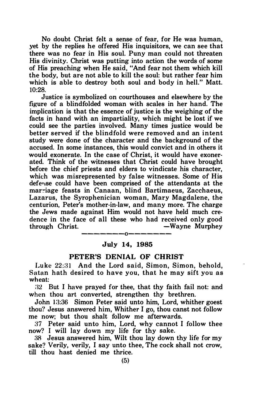No doubt Christ felt a sense of fear, for He was human, yet by the replies he offered His inquisitors, we can see that there was no fear in His soul. Puny man could not threaten His divinity. Christ was putting into action the words of some of His preaching when He said, "And fear not them which kill the body, but are not able to kill the soul: but rather fear him which is able to destroy both soul and body in hell." Matt.  $10.28$ 

Justice is symbolized on courthouses and elsewhere by the figure of a blindfolded woman with scales in her hand. The implication is that the essence of justice is the weighing of the facts in hand with an impartiality, which might be lost if we could see the parties involved. Many times justice would be better served if the blindfold were removed and an intent study were done of the character and the background of the accused. In some instances, this would convict and in others it would exonerate. In the case of Christ, it would have exonerated. Think of the witnesses that Christ could have brought before the chief priests and elders to vindicate his character, which was misrepresented by false witnesses. Some of His deferise could have been comprised of the attendants at the marriage feasts in Canaan, blind Bartimaeus, Zacchaeus, Lazarus, the Syrophenician woman, Mary Magdalene, the centurion, Peter's mother-in-law, and many more. The charge the Jews made against Him would not have held much credence in the face of all these who had received only good<br>through Christ. — Wavne Murphev -Wayne Murphey

### -------0------- July 14, 1985

### PETER'S DENIAL OF CHRIST

Luke 22:31 And the Lord said, Simon, Simon, behold, Satan hath desired to have you, that he may sift you as wheat:

:l2 But I have prayed for thee, that thy faith fail not: and when thou art converted, strengthen thy brethren.

John 13:36 Simon Peter said unto him, Lord, whither goest thou? Jesus answered him, Whither I go, thou canst not follow me now; but thou shalt follow me afterwards.

37 Peter said unto him, Lord, why cannot I follow thee now? I will lay down my life for thy sake.

:l8 Jesus answered him, Wilt thou lay down thy life for my sake? Verily, verily, I say unto thee, The cock shall not crow, till thou hast denied me thrice.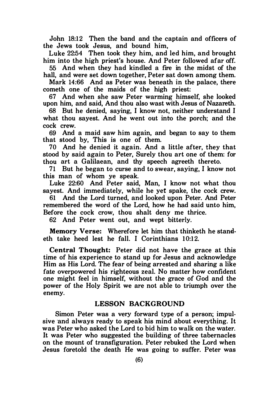John 18:12 Then the band and the captain and officers of the Jews took Jesus, and bound him,

Luke 22:54 Then took they him, and led him, and brought him into the high priest's house. And Peter followed afar off.

55 And when they had kindled a fire in the midst of the hall, and were set down together, Peter sat down among them.

Mark 14:66 And as Peter was beneath in the palace, there cometh one of the maids of the high priest:

67 And when she saw Peter warming himself, she looked upon him, and said, And thou also wast with Jesus of Nazareth.

68 But he denied, saying, I know not, neither understand I what thou sayest. And he went out into the porch; and the cock crew.

69 And a maid saw him again, and began to say to them that stood by, This is one of them.

70 And he denied it again. And a little after, they that stood by said again to Peter, Surely thou art one of them: for thou art a Galilaean, and thy speech agreeth thereto.

71 But he began to curse and to swear, saying, I know not this man of whom ye speak.

Luke 22:60 And Peter said, Man, I know not what thou sayest. And immediately, while he yet spake, the cock crew.

61 And the Lord turned, and looked upon Peter. And Peter remembered the word of the Lord, how he had said unto him, Before the cock crow, thou shalt deny me thrice.

62 And Peter went out, and wept bitterly.

Memory Verse: Wherefore let him that thinketh he standeth take heed lest he fall. I Corinthians 10:12.

Central Thought: Peter did not have the grace at this time of his experience to stand up for Jesus and acknowledge Him as His Lord. The fear of being arrested and sharing a like fate overpowered his righteous zeal. No matter how confident one might feel in himself, without the grace of God and the power of the Holy Spirit we are not able to triumph over the enemy.

#### LESSON BACKGROUND

Simon Peter was a very forward type of a person; impulsive and always ready to speak his mind about everything. It was Peter who asked the Lord to bid him to walk on the water. It was Peter who suggested the building of three tabernacles on the mount of transfiguration. Peter rebuked the Lord when Jesus foretold the death He was going to suffer. Peter was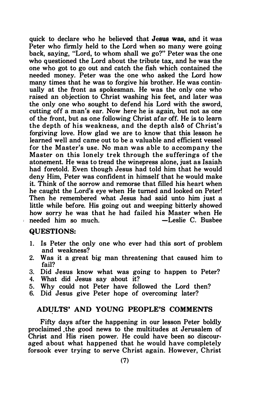quick to declare who he believed that Jesus was, and it was Peter who firmly held to the Lord when so many were going back, saying, "Lord, to whom shall we go?" Peter was the one who questioned the Lord about the tribute tax, and he was the one who got to go out and catch the fish which contained the needed money. Peter was the one who asked the Lord how many times that he was to forgive his brother. He was continually at the front as spokesman. He was the only one who raised an objection to Christ washing his feet, and later was the only one who sought to defend his Lord with the sword, cutting off a man's ear. Now here he is again, but not as one of the front, but as one following Christ afar off. He is to learn the depth of his weakness, and the depth als� of Christ's forgiving love. How glad we are to know that this lesson he learned well and came out to be a valuable and efficient vessel for the Master's use. No man was able to accompany the Master on this lonely trek through the sufferings of the atonement. He was to tread the winepress alone, just as Isaiah had foretold. Even though Jesus had told him that he would deny Him, Peter was confident in himself that he would make it. Think of the sorrow and remorse that filled his heart when he caught the Lord's eye when He turned and looked on Peter! Then he remembered what Jesus had said unto him just a little while before. His going out and weeping bitterly showed how sorry he was that he had failed his Master when He<br>needed him so much.<br>-Leslie C. Busbee needed him so much.

### QUESTIONS:

- 1. Is Peter the only one who ever had this sort of problem and weakness?
- 2. Was it a great big man threatening that caused him to fail?
- 3. Did Jesus know what was going to happen to Peter?<br>4. What did Jesus say about it?
- What did Jesus say about it?
- 5. Why could not Peter have followed the Lord then?
- 6. Did Jesus give Peter hope of overcoming later?

### ADULTS' AND YOUNG PEOPLE'S COMMENTS

Fifty days after the happening in our lesson Peter boldly proclaimed .the good news to the multitudes at Jerusalem of Christ and His risen power. He could have been so discouraged about what happened that he would have completely forsook ever trying to serve Christ again. However, Christ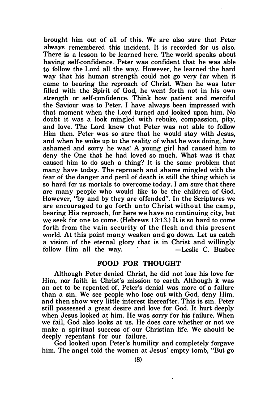brought him out of all of this. We are also sure that Peter always remembered this incident. It is recorded for us also. There is a lesson to be learned here. The world speaks about having self-confidence. Peter was confident that he was able to follow the Lord all the way. However, he learned -the hard way that his human strength could not go very far when it came to bearing the reproach of Christ. When he was later filled with the Spirit of God, he went forth not in his own strength or self-confidence. Think how patient and merciful the Saviour was to Peter. I have always been impressed with that moment when the Lord turned and looked upon him. No doubt it was a look mingled with rebuke, compassion, pity, and love. The Lord knew that Peter was not able to follow Him then. Peter was so sure that he would stay with Jesus, and when he woke up to the reality of what he was doing, how ashamed and sorry he was! A young girl had caused him to deny the One that he had loved so much. What was it that caused him to do such a thing? It is the same problem that many have today. The reproach and shame mingled with the fear of the danger and peril of death is still the thing which is so hard for us mortals to overcome today. I am sure that there are many people who would like to be the children of God. However, "by and by they are offended". In the Scriptures we are encouraged to go forth unto Christ without the camp. bearing His reproach, for here we have no continuing city, but we seek for one to come. (Hebrews 13:13.) It is so hard to come forth from the vain security of the flesh and this present world. At this point many weaken and go down. Let us catch a vision of the eternal glory that is in Christ and willingly follow Him all the way. -Leslie C. Busbee

### FOOD FOR THOUGHT

Although Peter denied Christ, he did not lose his love for Him, nor faith in Christ's mission to earth. Although it was an act to be repented of, Peter's denial was more of a failure than a sin. We see people who lose out with God, deny Him, and then show very little interest thereafter. This is sin. Peter still possessed a great desire and love for God. It hurt deeply when Jesus looked at him. He was sorry for his failure. When we fail, God also looks at us. He does care whether or not we make a spiritual success of our Christian life. We should be deeply repentant for our failure.

God looked upon Peter's humility and completely forgave him. The angel told the women at Jesus' empty tomb, "But go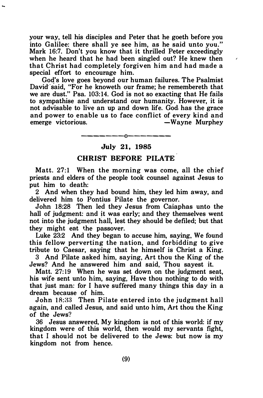your way, tell his disciples and Peter that he goeth before you into Galilee: there shall ye see him, as he said unto you." Mark 16:7. Don't you know that it thrilled Peter exceedingly when he heard that he had been singled out? He knew then that Christ had completely forgiven him and had made a special effort to encourage him.

God's love goes beyond our human failures. The Psalmist David said, "For he knoweth our frame; he remembereth that we are dust." Psa. 103:14. God is not so exacting that He fails to sympathise and understand our humanity. However, it is not advisable to live an up and down life. God. has the grace and power to enable us to face conflict of every kind and emerge victorious.<br>— Wayne Murphey -Wayne Murphey

### -------0------- July 21, 1985

### CHRIST BEFORE PILATE

Matt. 27:1 When the morning was come, ail the chief priests and elders of the people took counsel against Jesus to put him to death:

2 And when they had bound him, they led him away, and delivered him to Pontius Pilate the governor.

John 18:28 Then led they Jesus from Caiaphas unto the hall of judgment: and it was early; and they themselves went not into the judgment hall, lest they should be defiled; but that they might eat the passover.

Luke 23:2 And they began to accuse him, saying, We found this fellow perverting the nation, and forbidding to give tribute to Caesar, saying that he himself is Christ a King.

3 And Pilate asked him, saying, Art thou the King of the Jews? And he answered him and said, Thou sayest it.

Matt. 27:19 When he was set down on the judgment seat, his wife sent unto him, saying, Have thou nothing to do with that just man: for I have suffered many things this day in a dream because of him.

John 18:33 Then Pilate entered into the judgment hall again, and called Jesus, and said unto him, Art thou the King of the Jews'?

36 Jesus answered, My kingdom is not of this world: if my kingdom were of this world, then would my servants fight, that I should not be delivered to the Jews: but now is my kingdom not from hence.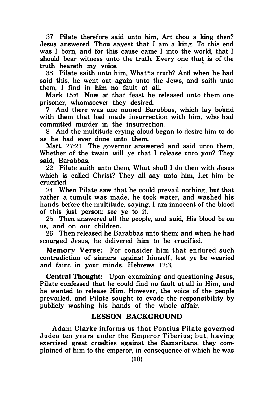37 Pilate therefore said unto him, Art thou a king then? Jesus answered. Thou sayest that I am a king. To this end was I born, and for this cause came I into the world, that I should bear witness unto the truth. Every one that is of the truth heareth my voice. . "·

38 Pilate saith unto him, What is truth? And when he had said this, he went out again unto the Jews, and saith unto them, I find in him no fault at all.

Mark 15:6 Now at that feast he released unto them one prisoner, whomsoever they desired.

7 And there was one named Barabbas, which lay bound with them that had made insurrection with him, who had committed murder in the insurrection.

8 And the multitude crying aloud began to desire him to do as he had ever done unto them.

Matt. 27:21 The governor answered and said unto them, Whether of the twain will ye that I release unto you? They said, Barabbas.

22 Pilate saith unto them, What shall I do then with Jesus which is called Christ? They all say unto him, Let him be crucified.

24 When Pilate saw that he could prevail nothing, but that rather a tumult was made, he took water, and washed his hands before the multitude, saying, I am innocent of the blood of this just person: see ye to it.

25 Then answered all the people, and said, His blood be on us, and on our children.

26 Then released he Barabbas unto them: and when he had scourged Jesus, he delivered him to be crucified.

Memory Verse: For consider him that endured such contradiction of sinners against himself, lest ye be wearied and faint in your minds. Hebrews 12:3.

Central Thought: Upon examining and questioning Jesus, Pilate confessed that he could find no fault at all in Him, and he wanted to release Him. However, the voice of the people prevailed, and Pilate sought to evade the responsibility by publicly washing his hands of the whole affair.

### LESSON BACKGROUND

Adam Clarke informs us that Pontius Pilate governed Judea ten years under the Emperor Tiberius; but, having exercised great cruelties against the Samaritans, they complained of him to the emperor, in consequence of which he was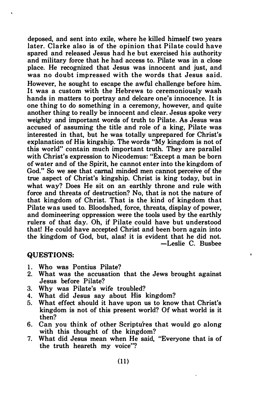deposed, and sent into exile, where he killed himself two years later. Clarke also is of the opinion that Pilate could have spared and released Jesus had he but exercised his authority and military force that he had access to. Pilate was in a close place. He recognized that Jesus was innocent and just, and was no doubt impressed with the words that Jesus said. However, he sought to escape the awful challenge before him. It was a custom with the Hebrews to ceremoniously wash hands in matters to portray and delcare one's innocence. It is one thing to do something in a ceremony, however, and quite another thing to really be innocent and clear. Jesus spoke very weighty and important words of truth to Pilate. As Jesus was accused of assuming the title and role of a king, Pilate was interested in that, but he was totally unprepared for Christ's explanation of His kingship. The words "My kingdom is not of this world" contain much important truth. They are parallel with Christ's expression to Nicodemus: "Except a man be born of water and of the Spirit, he cannot enter into the kingdom of God." So we see that carnal minded men cannot perceive of the true aspect of Christ's kingship. Christ is king today, but in what way? Does He sit on an earthly throne and rule with force and threats of destruction? No, that is not the nature of that kingdom of Christ. That is the kind of kingdom that Pilate was used to. Bloodshed, force, threats, display of power, and domineering oppression were the tools used by the earthly rulers of that day. Oh, if Pilate could have but understood that! He could have accepted Christ and been born again into the kingdom of God, but, alas! it is evident that he did not. -Leslie C. Busbee

#### QUESTIONS:

- 1. Who was Pontius Pilate?
- What was the accusation that the Jews brought against Jesus before Pilate?

 $\bullet$ 

- 3. Why was Pilate's wife troubled?
- What did Jesus say about His kingdom?
- 5. What effect should it have upon us to know that Christ's kingdom is not of this present world? Of what world is it then?
- 6. Can you think of other Scriptures that would go along with this thought of the kingdom?
- 7. What did Jesus mean when He said, "Everyone that is of the truth heareth my voice"?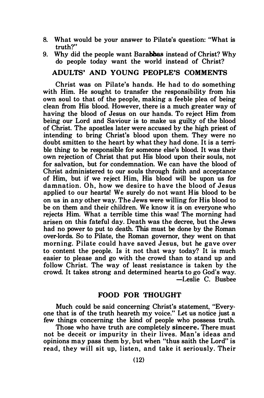- 8. What would be your answer to Pilate's question: "What is truth?"
- 9. Why did the people want Barabbas instead of Christ? Why do people today want the world instead of Christ?

### ADULTS' AND YOUNG PEOPLE'S COMMENTS

Christ was on Pilate's hands. He had to do something with Him. He sought to transfer the responsibility from his own soul to that of the people, making a feeble plea of being clean from His blood. However, there is a much greater way of having the blood of Jesus on our hands. To reject Him from being our Lord and Saviour is to make us guilty of the blood of Christ. The apostles later were accused by the high priest of intending to bring Christ's blood upon them. They were no doubt smitten to the heart by what they had done. It is a terrible thing to be responsible for someone else's blood. It was their own rejection of Christ that put His blood upon their souls, not for salvation, but for condemnation. We can have the blood of Christ administered to our souls through faith and acceptance of Him, but if we reject Him, His blood will be upon us for damnation. Oh, how we desire to have the blood of Jesus applied to our hearts! We surely do not want His blood to be on us in any other way. The Jews were willing for His blood to be on them and their children. We know it is on everyone who rejects Him. What a terrible time this was! The morning had arisen on this fateful day. Death was the decree, but the Jews had no power to put to death. This must be done by the Roman over-lords. So to Pilate, the Roman governor, they went on that morning. Pilate could have saved Jesus, but he gave over to content the people. Is it not that way today? It is much easier to please and go with the crowd than to stand up and follow Christ. The way of least resistance is taken by the crowd. It takes strong and determined hearts to go God's way. -Leslie C. Busbee

### FOOD FOR THOUGHT

Much could be said concerning Christ's statement, "Everyone that is of the truth heareth my voice." Let us notice just a few things concerning the kind of people who possess truth.

Those who have truth are completely sincere. There must not be deceit or impurity in their lives. Man's ideas and opinions may pass them by, but when "thus saith the Lord" is read, they will sit up, listen, and take it seriously. Their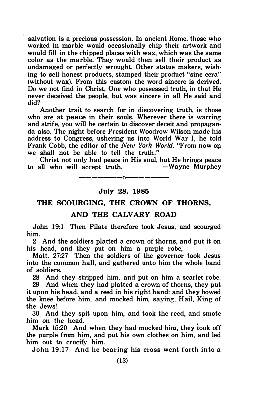salvation is a precious possession. In ancient Rome, those who worked in marble would occasionally chip their artwork and would fill in the chipped places with wax, which was the same color as the marble. They would then sell their product as undamaged or perfectly wrought. Other statue makers, wish· ing to sell honest products, stamped their product "sine cera" (without wax). From this custom the word sincere is derived. Do we not find in Christ, One who possessed truth, in that He never deceived the people, but was sincere in all He said and did?

Another trait to search for in discovering truth, is those who are at peace in their souls. Wherever there is warring and strife, you will be certain to discover deceit and propaganda also. The night before President Woodrow Wilson made his address to Congress, ushering us into World War I, he told Frank Cobb, the editor of the New York World, "From now on we shall not be able to tell the truth."

Christ not only had peace in His soul, but He brings peace to all who will accept truth.  $-0-$ 

July 28, 1985

### THE SCOURGING, THE CROWN OF THORNS,

#### AND THE CALVARY ROAD

John 19:1 Then Pilate therefore took Jesus, and scourged him.

2 And the soldiers platted a crown of thorns, and put it on his head, and they put on him a purple robe,

Matt. 27:27 Then the soldiers of the governor took Jesus into the common hall, and gathered unto him the whole. band of soldiers.

28 And they stripped him, and put on him a scarlet robe. 29 And when they had platted a crown of thorns, they put it upon his head, and a reed in his right hand: and they bowed the knee before him, and mocked him, saying, Hail, King of the Jews!

30 And they spit upon him, and took the reed, and smote him on the head.

Mark 15:20 And when they had mocked him, they took off the purple from him, and put his own clothes on him, and led him out to crucify him.

John 19:17 And he bearing his cross went forth into a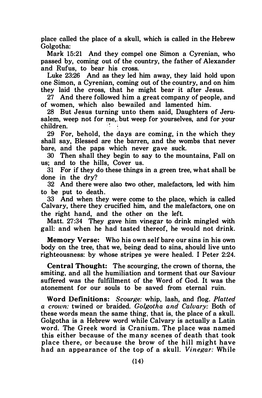place called the place of a skull, which is called in the Hebrew Golgotha:

Mark 15:21 And they compel one Simon a Cyrenian, who passed by, coming out of the country, the father of Alexander and Rufus, to bear his cross.

Luke 23:26 And as they led him away, they laid hold upon one Simon, a Cyrenian, coming out of the country, and on him they laid the cross, that he might bear it after Jesus.

27 And there followed him a great company of people, and of women, which also bewailed and lamented him.

28 But Jesus turning unto them said, Daughters of Jerusalem, weep not for me,, but weep for yourselves, and for your children.

29 For, behold, the days are coming, in the which they shall say, Blessed are the barren, and the wombs that never bare, and the paps which never gave suck.

30 Then shall they begin to say to the mountains, Fall on us; and to the hills, Cover us.

31 For if they do these things in a green tree, what shall be done in the dry?

32 And there were also two other, malefactors, led with him to be put to death.

33 And when they were come to the place, which is called Calvary, there they crucified him, and the malefactors, one on the right hand, and the other on the left.

Matt. 27:34 They gave him vinegar to drink mingled with gall: and when he had tasted thereof, he would not drink.

Memory Verse: Who his own self bare our sins in his own body on the tree, that we, being dead to sins, should live unto righteousness: by whose stripes ye were healed. I Peter 2:24.

Central Thought: The scourging, the crown of thorns, the smiting, and all the humiliation and torment that our Saviour suffered was the fulfillment of the Word of God. It was the atonement for our souls to be saved from eternal ruin.

Word Definitions: Scourge: whip, lash, and flog. Platted a crown: twined or braided. Golgotha and Calvary: Both of these words mean the same thing, that is, the place of a skull. Golgotha is a Hebrew word while Calvary is actually a Latin word. The Greek word is Cranium. The place was named this either because of the many scenes of death that took place there, or because the brow of the hill might have had an appearance of the top of a skull. Vinegar: While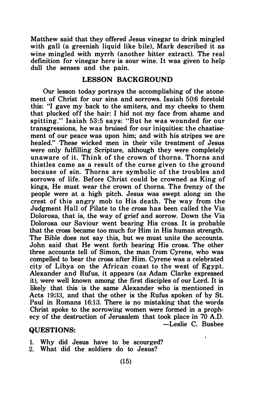Matthew said that they offered Jesus vinegar to drink mingled with gall (a greenish liquid like bile). Mark described it as wine mingled with myrrh (another bitter extract). The real definition for vinegar here is sour wine. It was given to help dull the senses and the pain.

### LESSON BACKGROUND

Our lesson today portrays the accomplishing of the atonement of Christ for our sins and sorrows. Isaiah 50:6 foretold this: "I gave my back to the smiters, and my cheeks to them that plucked off the hair: I hid not my face from shame and spitting.'' Isaiah 53:5 says: "But he was wounded for our transgressions, he was bruised for our iniquities: the chastisement of our peace was upon him; and with his stripes we are healed." These wicked men in their vile treatment of Jesus were only fulfilling Scripture, although they were completely unaware of it. Think of the crown of thorns. Thorns and thistles came as a result of the curse given to the ground because of sin. Thorns are symbolic of the troubles and sorrows of life. Before Christ could be crowned as King of kings, He must wear the crown of thorns. The frenzy of the people were at a high pitch. Jesus was swept along on the crest of this angry mob to His death . The way from the Judgment Hall of Pilate to the cross has been called the Via Dolorosa, that is, the way of grief and sorrow. Down the Via Dolorosa our Saviour went bearing His cross. It is probable that the cross became too much for Him in His human strength. The Bible does not say this, but we must unite the accounts. John said that He went forth bearing His cross. The other three accounts tell of Simon, the man from Cyrene, who was compelled to bear the cross after Him. Cyrene was a celebrated city of Libya on the African coast to the west of Egypt. Alexander and Rufus, it appears (as Adam Clarke expressed it), were well known among the first disciples of our Lord. It is likely that this is the same Alexander who is mentioned in Acts 19:33, and that the other is the Rufus spoken of by St. Paul in Romans 16:13. There is no mistaking that the words Christ spoke to the sorrowing women were formed in a prophecy of the destruction of Jerusalem that took place in 70 A.D. -Leslie C. Busbee

### QUESTIONS:

- 1. Why did Jesus have to be scourged?
- 2. What did the soldiers do to Jesus?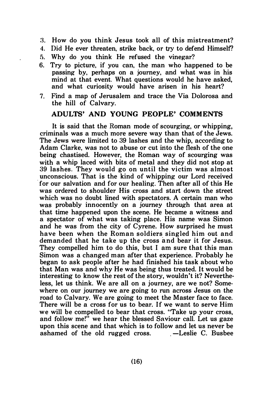- 3. How do you think Jesus took all of this mistreatment?
- 4. Did He ever threaten, strike back, or try to defend Himself?
- 5. Why do you think He refused the vinegar?
- 6. Try to picture, if you can, the man who happened to be passing by, perhaps on a journey, and what was in his mind at that event. What questions would he have asked, and what curiosity would have arisen in his heart?
- 7. Find a map of Jerusalem and trace the Via Dolorosa and the hill of Calvary.

### ADULTS' AND YOUNG PEOPLE' COMMENTS

It is said that the Roman mode of scourging, or whipping, criminals was a much more severe way than that of the Jews. The Jews were limited to 39 lashes and the whip, according to Adam Clarke, was not to abuse or cut into the flesh of the one being chastised. However, the Roman way of scourging was with a whip laced with bits of metal and they did not stop at 39 lashes. They would go on until the victim was almost unconscious. That is the kind of whipping our Lord received for our salvation and for our healing. Then after all of this He was ordered to shoulder His cross and start down the street which was no doubt lined with spectators. A certain man who was probably innocently on a journey through that area at that time happened upon the scene. He became a witness and a spectator of what was taking place. His name was Simon and he was from the city of Cyrene. How surprised he must have been when the Roman soldiers singled him out and dem anded that he take up the cross and bear it for Jesus. They compelled him to do this, but I am sure that this man Simon was a changed man after that experience. Probably he began to ask people after he had finished his task about who that Man was and why He was being thus treated. It would be interesting to know the rest of the story, wouldn't it? Nevertheless, let us think. We are all on a journey, are we not? Somewhere on our journey we are going to run across Jesus on the road to Calvary. We are going to meet the Master face to face. There will be a cross for us to bear. If we want to serve Him we will be compelled to bear that cross. "Take up your cross, and follow me!" we hear the blessed Saviour call. Let us gaze upon this scene and that which is to follow and let us never be ashamed of the old rugged cross.  $-$  Leslie C. Busbee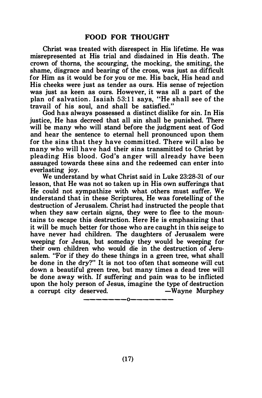Christ was treated with disrespect in His lifetime. He was misrepresented at His trial and disdained in His death. The crown of thorns, the scourging, the mocking, the smiting, the shame, disgrace and bearing of the cross, was just as difficult for Him as it would be for you or me. His back, His head and His cheeks were just as tender as ours. His sense of rejection was just as keen as ours. However, it was all a part of the plan of salvation. Isaiah 53: 11 says, "He shall see of the travail of his soul, and shall be satisfied."

God has always possessed a distinct dislike for sin. In His justice. He has decreed that all sin shall be punished. There will be many who will stand before the judgment seat of God and hear the sentence to eternal hell pronounced upon them for the sins that they have committed. There will a lso be many who will have had their sins transmitted to Christ by pleading His blood. God 's anger will already have been assuaged towards these sins and the redeemed can enter into everlasting joy.

We understand by what Christ said in Luke 23:28-31 of our lesson, that He was not so taken up in His own sufferings that He could not sympathize with what others must suffer. We understand that in these Scriptures, He was foretelling of the destruction of Jerusalem. Christ had instructed the people that when they saw certain signs, they were to flee to the mountains to escape this destruction. Here He is emphasizing that it will be much better for those who are caught in this seige to have never had children. The daughters of Jerusalem were weeping for Jesus, but someday they would be weeping for their own children who would die in the destruction of Jerusalem. "For if they do these things in a green tree, what shall be done in the dry?" It is not too often that someone will cut down a beautiful green tree, but many times a dead tree will be done away with. If suffering and pain was to be inflicted upon the holy person of Jesus, imagine the type of destruction a corrupt city deserved. - Wayne Murphey

-------0-------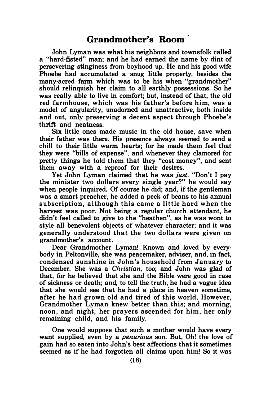# Grandmother's Room

John Lyman was what his neighbors and townsfolk called a "hard-fisted" man; and he had earned the name by dint of persevering stinginess from boyhood up. He and his good wife Phoebe had accumulated a snug little property, besides the many-acred farm which was to be his when "grandmother" should relinquish her claim to all earthly possessions. So he was really able to live in comfort; but, instead of that, the old red farmhouse, which was his father's before him, was a model of angularity, unadorned and unattractive, both inside and out, only preserving a decent aspect through Phoebe's thrift and neatness.

Six little ones made music in the old house, save when their father was there. His presence always seemed to send a chill to their little warm hearts; for he made them feel that they were ''bills of expense", and whenever they clamored for pretty things he told them that they "cost money", and sent them away with a reproof for their desires.

Yet John Lyman claimed that he was just. "Don't I pay the minister two dollars every single year?" he would say when people inquired. Of course he did; and, if the gentleman was a smart preacher, he added a peck of beans to his annual s ubscription, although this came a little hard when the harvest was poor. Not being a regular church attendant, he didn't feel called to give to the "heathen", as he was wont to style all benevolent objects of whatever character; and it was generally understood that the two dollars were given on grandmother's account.

Dear Grandmother Lyman! Known and loved by everybody in Peltonville, she was peacemaker, adviser, and, in fact, condensed sunshine in John's household from January to December. She was a Christian, too; and John was glad of that, for he believed that she and the Bible were good in case of sickness or death; and, to tell the truth, he had a vague idea that she would see that he had a place in heaven sometime, after he had grown old and tired of this world. However, Grandmother Lyman knew better than this; and morning, noon, and night, her prayers ascended for him, her only remaining child, and his family.

One would suppose that such a mother would have every want supplied, even by a *penurious* son. But, Oh! the love of gain had so eaten into John's best affections that it sometimes seemed as if he had forgotten all claims upon him! So it was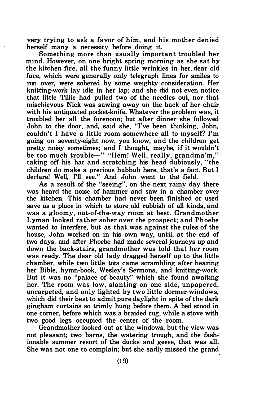very trying to ask a favor of him, and his mother denied herself many a necessity before doing it.

Something more than usually important troubled her mind. However, on one bright spring morning as she sat by the kitchen fire, all the funny little wrinkles in her. dear old face, which were generally only telegraph lines for smiles to run over, were sobered by some weighty consideration. Her knitting-work lay idle in her lap; and she did not even notice that little Tillie had pulled two of the needles out, nor that mischievous Nick was sawing away on the back of her chair with his antiquated pocket-knife. Whatever the problem was, it troubled her all the forenoon; but after dinner she followed John to the door, and, said she, "I've been thinking, John, couldn't I have a little room somewhere all to myself? I'm going on seventy-eight now, you know, and the children get pretty noisy sometimes; and I thought, maybe, if it wouldn't be too much trouble-" "Hem! Well, really, grandma'm." taking off his hat and scratching his head dubiously, "the children do make a precious hubbub here, that's a fact. But I declare! Well, I'll see." And John went to the field.

As a result of the "seeing", on the next rainy day there was heard the noise of hammer and saw in a chamber over the kitchen. This chamber had never been finished or used save as a place in which to store old rubbish of all kinds, and was a gloomy, out-of-the-way room at best. Grandmother Lyman looked rather sober over the prospect; and Phoebe wanted to interfere, but as that was against the rules of the house, John worked on in his own way, until, at the end of two days, and after Phoebe had made several journeys up and down the back-stairs, grandmother was told that her room was ready. The dear old lady dragged herself up to the little chamber, while two little tots came scrambling after hearing her Bible, hymn-book, Wesley's Sermons, and knitting-work. But it was no "palace of beauty" which she found awaiting her. The room was low, slanting on one side, unpapered, uncarpeted, and only lighted by two little dormer-windows, which did their best to admit pure daylight in spite of the dark gingham curtains so trimly hung before them. A bed stood in one comer, before which was a braided rug, while a stove with two good legs occupied the center of the room.

Grandmother looked out at the windows, but the view was not pleasant; two barns, the watering trough, and the fashionable summer resort of the ducks and geese, that was all. She was not one to complain; but she sadly missed the grand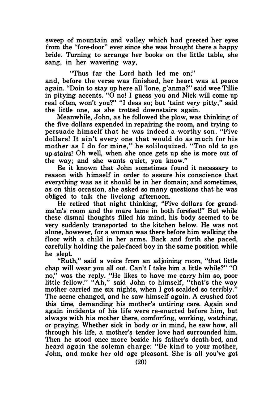sweep of mountain and valley which had greeted her eyes from the "fore-door" ever since she was brought there a happy bride. Turning to arrange her books on the little table, she sang, in her wavering way,

"Thus far the Lord hath led me on;"

and, before the verse was finished, her heart was at peace again. "Doin to stay up here all 'lone, g'anma?" said wee Tillie in pitying accents. "0 no! I guess you and Nick will come up real often, won't you?" "I dess so; but 'taint very pitty," said the little one, as she trotted downstairs again.

Meanwhile, John, as he followed the plow, was thinking of the five dollars expended in repairing the room, and trying to persuade himself that he was indeed a worthy son. "Five dollars! It ain't every one that would do as much for his mother as I do for mine," he soliloquized. "Too old to go up-stairs! Oh well, when she once gets up she is more out of the way; and she wants quiet, you know."

Be it known that John sometimes found it necessary to reason with himself in order to assure his conscience that everything was as it should be in her domain; and sometimes, as on this occasion, she asked so many questions that he was obliged to talk the livelong afternoon.

He retired that night thinking, "Five dollars for grandma'm's room and the mare lame in both forefeet!" But while these dismal thoughts filled his mind, his body seemed to be very suddenly transported to the kitchen below. He was not alone, however, for a woman was there before him walking the floor with a child in her arms. Back and forth she paced, carefully holding the pale-faced boy in the same position while he slept.

"Ruth," said a voice from an adjoining room, "that little chap will wear you all out. Can't I take him a little while?" "0 no," was the reply. "He likes to have me carry him so, poor little fellow." "Ah," said John to himself, "that's the way mother carried me six nights, when I got scalded so terribly." The scene changed, and he saw himself again. A crushed foot this time, demanding his mother's untiring care. Again and again incidents of his life were re-enacted before him, but always with his mother there, comforting, working, watching, or praying. Whether sick in body or in mind, he saw how, all through his life, a mother's tender love had surrounded him. Then he stood once more beside his father's death-bed, and heard again the solemn charge: "Be kind to your mother, John, and make her old age pleasant. She is all you've got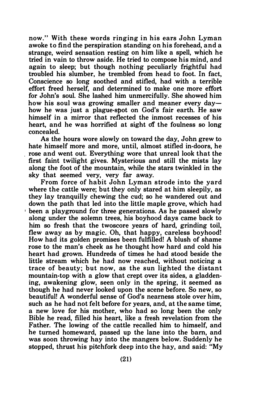now." With these words ringing in his ears John Lyman awoke to find the perspiration standing on his forehead, and a strange, weird sensation resting on him like a spell, which he tried in vain to throw aside. He tried to compose his mind, and again to sleep; but though nothing peculiarly frightful had troubled his slumber, he trembled from head to foot. In fact, Conscience so long soothed and stifled, had with a terrible effort freed herself, and determined to make one more effort for John's soul. She lashed him unmercifully. She showed him how his soul was growing smaller and meaner every dayhow he was just a plague-spot on God's fair earth. He saw himself in a mirror that reflected the inmost recesses of his heart, and he was horrified at sight of the foulness so long concealed.

As the hours wore slowly on toward the day, John grew to hate himself more and more, until, almost stifled in-doors, he . rose and went out. Everything wore that unreal look that the first faint twilight gives. Mysterious and still the mists lay along the foot of the mountain, while the stars twinkled in the sky that seemed very, very far away.

From force of habit John Lyman strode into the yard where the cattle were; but they only stared at him sleepily, as they lay tranquilly chewing the cud; so he wandered out and down the path that led into the little maple grove, which had ' been a playground for three generations. As he passed slowly along under the solemn trees, his boyhood days came back to him so fresh that the twoscore years of hard, grinding toil, flew away as by magic. Oh, that happy, careless boyhood! How had its golden promises been fulfilled! A blush of shame rose to the man's cheek as he thought how hard and cold his heart had grown. Hundreds of times he had stood beside the little stream which he had now reached, without noticing a trace of beauty; but now, as the sun lighted the distant mountain-top with a glow that crept over its sides, a gladdening, awakening glow, seen only in the spring, it seemed as though he had never looked upon the scene before. So new, so beautiful! A wonderful sense of God's nearness stole over him, such as he had not felt before for years, and, at the same time, a new love for his mother, who had so long been the only Bible he read, filled his heart, like a fresh revelation from the Father. The lowing of the cattle recalled him to himself, and he turned homeward, passed up the lane into the bam, and was soon throwing hay into the mangers below. Suddenly he stopped, thrust his pitchfork deep into the hay, and said: "My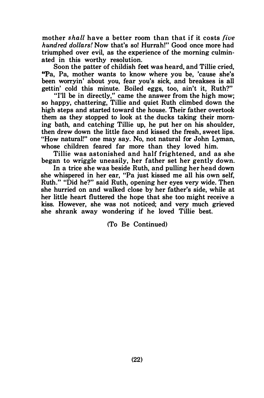mother shall have a better room than that if it costs five hundred dollars! Now that's so! Hurrah!" Good once more had triumphed over evil, as the experience of the morning culminated in this worthy resolution.

Soon the patter of childish feet was heard, and Tillie cried, "Pa, Pa, mother wants to know where you be, 'cause she's been worryin' about you, fear you's sick, and breakses is all gettin' cold this minute. Boiled eggs, too, ain't it, Ruth?"

"I'll be in directly," came the answer from the high mow; so happy, chattering, Tillie and quiet Ruth climbed down the high steps and started toward the house. Their father overtook them as they stopped to look at the ducks taking their morning bath, and catching Tillie up, he put her on his shoulder, then drew down the little face and kissed the fresh, sweet lips. "How natural!" one may say. No, not natural for John Lyman, whose children feared far more than they loved him.

Tillie was astonished and half frightened, and as she began to wriggle uneasily, her father set her gently down.

In a trice she was beside Ruth, and pulling her head down she whispered in her ear, "Pa just kissed me all his own self, Ruth." "Did he?" said Ruth, opening her eyes very wide. Then she hurried on and walked close by her father's side, while at her little heart fluttered the hope that she too might receive a kiss. However, she was not noticed; and very much grieved she shrank away wondering if he loved Tillie best.

(To Be Continued)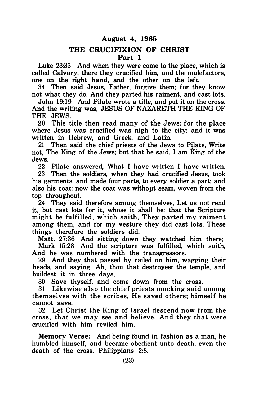### August 4, 1985

### THE CRUCIFIXION OF CHRIST Part 1

Luke 23:33 And when they were come to the place, which is called Calvary, there they crucified him, and the malefactors, one on the right hand, and the other on the left.

34 Then said Jesus, Father, forgive them; for they know not what they do. And they parted his raiment, and cast lots.

John 19:19 And Pilate wrote a title, and put it on the cross. And the writing was, JESUS OF NAZARETH THE KING OF THE JEWS.

20 This title then read many of the Jews: for the place where Jesus was crucified was nigh to the city: and it was written in Hebrew, and Greek, and Latin.

21 Then said the chief priests of the Jews to PiJate, Write not, The King of the Jews; but that he said, I am King of the Jews.

22 Pilate answered, What I have written I have written.<br>23 Then the soldiers when they had crucified Jesus took

Then the soldiers, when they had crucified Jesus, took his garments, and made four parts, to every soldier a part; and also his coat: now the coat was without seam, woven from the top throughout.

24 They said therefore among themselves, Let us not rend it, but cast lots for it, whose it shall be: that the Scripture might be fulfilled, which saith, They parted my raiment among them, and for my vesture they did cast lots. These things therefore the soldiers did.

Matt. 27:36 And sitting down they watched him there; Mark 15:28 And the scripture was fulfilled, which saith,

And he was numbered with the transgressors.

29 And they that passed by railed on him, wagging their heads, and saying, Ah, thou that destroyest the temple, and buildest it in three days,

30 Save thyself, and come down from the cross.

31 Likewise also the chief priests mocking said among themselves with the scribes, He saved others; himself he cannot save.

32 Let Christ the King of Israel descend now from the cross , that we may see and believe. And they that were crucified with him reviled him.

Memory Verse: And being found in fashion as a man, he humbled himself, and became obedient unto death, even the death of the cross. Philippians 2:8.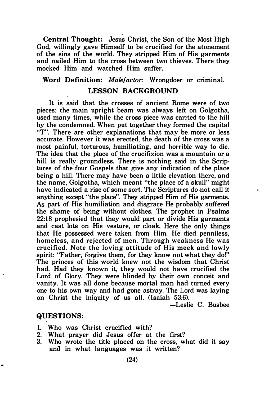Central Thought: Jesus Christ, the Son of the Most High God, willingly gave Himself to be crucified for the atonement of the sins of the world. They stripped Him of His garments and nailed Him to the cross between two thieves. There they mocked Him and watched Him suffer.

### Word Definition: Malefactor: Wrongdoer or criminal.

### LESSON BACKGROUND

It is said that the crosses of ancient Rome were of two pieces: the main upright beam was always left on Golgotha, used many times, while the cross piece was carried to the hill by the condemned. When put together they formed the capital "T". There are other explanations that may be more or less accurate. However it was erected, the death of the cross was a most painful, torturous, humiliating, and horrible way to die. The idea that the place of the crucifixion was a mountain or a hill is really groundless. There is nothing said in the Scriptures of the four Gospels that give any indication of the place being a hill. There may have been a little elevation there, and the name, Golgotha, which meant "the place of a skull" might have indicated a rise of some sort. The Scriptures do not call it anything except "the place". They stripped Him of His garments. As part of His humiliation and disgrace He probably suffered the shame of being without clothes. The prophet in Psalms 22:18 prophesied that they would part or divide His garments and cast lots on His vesture, or cloak. Here the only things that He possessed were taken from Him. He died penniless, homeless, and rejected of men. Through weakness He was crucified. Note the loving attitude of His meek and lowly spirit: "Father, forgive them, for they know not what they do!" The princes of this world knew not the wisdom that Christ had. Had they known it, they would not have crucified the Lord of Glory. They were blinded by their own conceit and vanity. It was all done because mortal man had turned every one to his own way and had gone astray. The Lord was laying on Christ the iniquity of us all. (Isaiah 53:6).

-Leslie C. Busbee

#### QUESTIONS:

- 1. Who was Christ crucified with?
- 2. What prayer did Jesus offer at the first?
- 3. Who wrote the title placed on the cross, what did it say and in what languages was it written?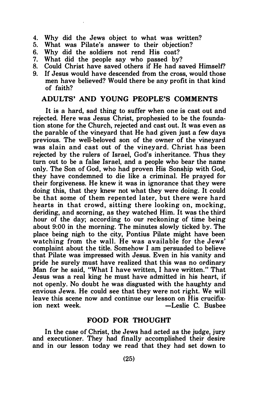- 4. Why did the Jews object to what was written?<br>5. What was Pilate's answer to their objection?
- What was Pilate's answer to their objection?
- 6. Why did the soldiers not rend His coat?
- 7. What did the people say who passed by?<br>8. Could Christ have saved others if He had so
- Could Christ have saved others if He had saved Himself?
- 9. If Jesus would have descended from the cross, would those men have believed? Would there be any profit in that kind of faith?

### ADULTS' AND YOUNG PEOPLE'S COMMENTS

It is a hard, sad thing to suffer when one is cast out and rejected. Here was Jesus Christ, prophesied to be the foundation stone for the Church, rejected and cast out. It was even as the parable of the vineyard that He had given just a few days previous. The well-beloved son of the owner of the vineyard was slain and cast out of the vinevard. Christ has been rejected by the rulers of Israel, God's inheritance. Thus they turn out to be a false Israel, and a people who bear the name only. The Son of God, who had proven His Sonship with God, they have condemned to die like a criminal. He prayed for their forgiveness. He knew it was in ignorance that they were doing this, that they knew not what they were doing. It could be that some of them repented later, but there were hard hearts in that crowd, sitting there looking on, mocking, deriding, and scorning, as they watched Him. It was the third hour of the day; according to our reckoning of time being about 9:00 in the morning. The minutes slowly ticked by. The place being nigh to the city, Pontius Pilate might have been watching from the wall. He was available for the Jews' complaint about the title. Somehow I am persuaded to believe that Pilate was impressed with Jesus. Even in his vanity and pride he surely must have realized that this was no ordinary Man for he said, "What I have written, I have written." That Jesus was a real king he must have admitted in his heart, if not openly. No doubt he was disgusted with the haughty and envious Jews. He could see that they were not right. We will leave this scene now and continue our lesson on His crucifix--Leslie C. Busbee

### FOOD FOR THOUGHT

In the case of Christ, the Jews had acted as the judge, jury and executioner. They had finally accomplished their desire and in our lesson today we read that they had set down to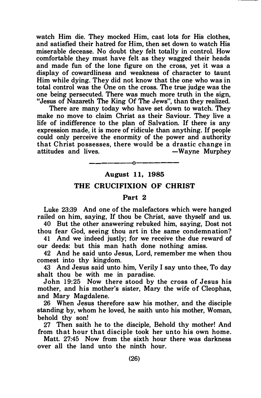watch Him die. They mocked Him, cast lots for His clothes, and satisfied their hatred for Him, then set down to watch His miserable decease. No doubt they felt totally in control. How comfortable they must have felt as they wagged their heads and made fun of the lone figure on the cross, yet it was a display of cowardliness and weakness of character to taunt Him while dying. They did not know that the one who was in total control was the One on the cross. The true judge was the one being persecuted. There was much more truth in the sign, "Jesus of Nazareth The King Of The Jews", than they realized.

There are many today who have set down to watch. They make no move to claim Christ as their Saviour. They live a life of indifference to the plan of Salvation. If there is any expression made, it is more of ridicule than anything. If people could only perceive the enormity of the power and authority that Christ possesses, there would be a drastic change in attitudes and lives. The South South Service Services and lives.

### -------o------- August 11, 1985

### THE CRUCIFIXION OF CHRIST

#### Part 2

Luke 23:39 And one of the malefactors which were hanged railed on him, saying, If thou be Christ, save thyself and us.

40 But the other answering rebuked him, saying, Dost not thou fear God, seeing thou art in the same condemnation?

41 And we indeed justly; for we receive the due reward of our deeds: but this man hath done nothing amiss.

42 And he said unto Jesus, Lord, remember me when thou comest into thy kingdom.

43 And Jesus said unto him, Verily I say unto thee, To day shalt thou be with me in paradise.

John 19:25 Now there stood by the cross of Jesus his mother, and his mother's sister, Mary the wife of Cleophas, and Mary Magdalene.

26 When Jesus therefore saw his mother, and the disciple standing by, whom he loved, he saith unto his mother, Woman, behold thy son!

27 Then saith he to the disciple, Behold thy mother! And from that hour that disciple took her unto his own home.

Matt. 27:45 Now from the sixth hour there was darkness over all the land unto the ninth hour.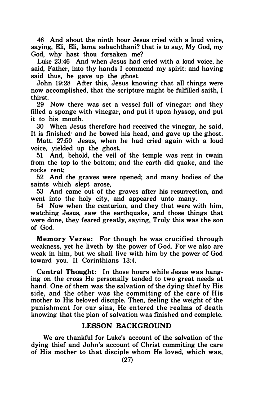46 And about the ninth hour Jesus cried with a loud voice, saying, Eli, Eli, lama sabachthani? that is to say, My God, my God, why hast thou forsaken me?

Luke 23:46 And when Jesus had cried with a loud voice, he said, Father, into thy hands I commend my spirit: and having said thus, he gave up the ghost.

John 19:28 After this, Jesus knowing that all things were now accomplished, that the scripture might be fulfilled saith, I thirst.

29 Now there was set a vessel full of vinegar: and they filled a sponge with vinegar, and put it upon hyssop, and put it to his mouth.

30 When Jesus therefore had received the vinegar, he said, It is finished· and he bowed his head, and gave up the ghost.

Matt. 27:50 Jesus, when he had cried again with a loud voice, yielded up the ghost.

51 And, behold, the veil of the temple was rent in twain from the top to the bottom; and the earth did quake, and the rocks rent;

52 And the graves were opened; and many bodies of the saints which slept arose,

53 And came out of the graves after his resurrection, and went into the holy city, and appeared unto many.

54 Now when the centurion, and they that were with him, watching Jesus, saw the earthquake, and those things that were done, they feared greatly, saying, Truly this was the son of God.

Memory Verse: For though he was crucified through weakness, yet he liveth by the power of God. For we also are weak in him, but we shall live with him by the power of God toward you. II Corinthians 13:4.

Central Thought: In those hours while Jesus was hanging on the cross He personally tended to two great needs at hand. One of them was the salvation of the dying thief by His side, and the other was the commiting of the care of His mother to His beloved disciple. Then, feeling the weight of the punishment for our sins, He entered the realms of death knowing that the plan of salvation was finished and complete.

### LESSON BACKGROUND

We are thankful for Luke's account of the salvation of the dying thief and John's account of Christ commiting the care of His mother to that disciple whom He loved, which was,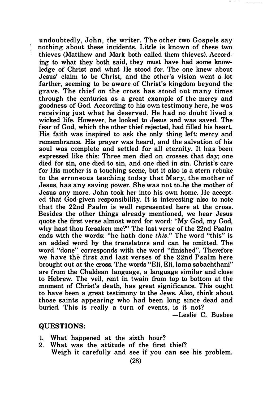undoubtedly, John, the writer. The other two Gospels sav nothing about these incidents. Little is known of these two thieves (Matthew and Mark both called them thieves). According to what they both said, they must have had some knowledge of Christ and what He stood for. The one knew about Jesus' claim to be Christ, and the other's vision went a lot farther, seeming to be aware of Christ's kingdom beyond the grave. The thief on the cross has stood out many times through the centuries as a great example of the mercy and goodness of God. According to his own testimony here, he was receiving just what he deserved. He had no doubt lived a wicked life. However, he looked to Jesus and was saved. The fear of God, which the other thief rejected, had filled his heart. His faith was inspired to ask the only thing left: mercy and remembrance. His prayer was heard, and the salvation of his soul was complete and settled for all eternity. It has been expressed like this: Three men died on crosses that day; one died for sin, one died to sin, and one died in sin. Christ's care for His mother is a touching scene, but it also is a stem rebuke to the erroneous teaching today that Mary, the mother of Jesus, has any saving power. She was not to-be the mother of Jesus any more. John took her into his own home. He accepted that God-given responsibility. It is interesting also to note that the 22nd Psalm is well represented here at the cross. Besides the other things already mentioned, we hear Jesus quote the first verse almost word for word: "My God, my God, why hast thou forsaken me?" The last verse of the 22nd Psalm ends with the words: "he hath done this." The word "this" is an added word by the translators and can be omitted. The word "done" corresponds with the word "finished". Therefore we have the first and last verses of the 22nd Psalm here brought out at the cross. The words "Eli, Eli, lama sabachthani" are from the Chaldean language, a language similar and close to Hebrew. The veil, rent in twain from top to bottom at the moment of Christ's death, has great significance. This ought to have been a great testimony to the Jews. Also, think about those saints appearing who had been long since dead and buried. This is really a turn of events, is it not?

-Leslie C. Busbee

### QUESTIONS:

 $\mathbf{r}$ 

- 1. What happened at the sixth hour?
- 2. What was the attitude of the first thief?

Weigh it carefully and see if you can see his problem.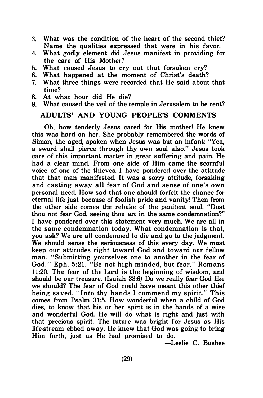- 3. What was the condition of the heart of the second thief? Name the qualities expressed that were in his favor.
- 4. What godly element did Jesus manifest in providing for the care of His Mother?
- 5. What caused Jesus to cry out that forsaken cry?
- 6. What happened at the moment of Christ's death?
- 7. What three things were recorded that He said about that time?
- 8. At what hour did He die?
- 9. What caused the veil of the temple in Jerusalem to be rent?

### ADULTS' AND YOUNG PEOPLE'S COMMENTS

Oh, how tenderly Jesus cared for His mother! He knew this was hard on her. She probably remembered the words of Simon, the aged, spoken when Jesus was but an infant; "Yea, a sword shall pierce through thy own soul also." Jesus took care of this important matter in great suffering and pain. He had a clear mind. From one side of Him came the scornful voice of one of the thieves. I have pondered over the attitude that that man manifested. It was a sorry attitude, forsaking and casting away all fear of God and sense of one's own personal need. How sad that one should forfeit the chance for eternal life just because of foolish pride and vanity! Then from the other side comes the rebuke of the penitent soul. "Dost thou not fear God, seeing thou art in the same condemnation?" I have pondered over this statement very much. We are all in the same condemnation today. What condemnation is that, you ask? We are all condemned to die and go to the judgment. We should sense the seriousness of this every day. We must keep our attitudes right toward God and toward our fellow man. "Submitting yourselves one to another in the fear of God." Eph. 5:21. "Be not high minded, but fear." Romans 11:20. The fear of the Lord is the beginning of wisdom, and should be our treasure. (Isaiah 33:6) Do we really fear God like we should? The fear of God could have meant this other thief being saved. "Into thy hands I commend my spirit. " This comes from Psalm 31:5. How wonderful when a child of God dies, to know that his or her spirit is in the hands of a wise and wonderful God. He will do what is right and just with that precious spirit. The future was bright for Jesus as His life-stream ebbed away. He knew that God was going to bring Him forth, just as He had promised to do.

-Leslie C. Busbee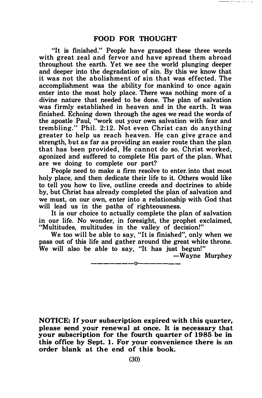"It is finished." People have grasped these three words with great zeal and fervor and have spread them abroad throughout the earth. Yet we see the world plunging deeper and deeper into the degradation of sin. By this we know that it was not the abolishment of sin that was effected. The accomplishment was the ability for mankind to once again enter into the most holy place. There was nothing more of a divine nature that needed to be done. The plan of salvation was firmly established in heaven and in the earth. It was finished. Echoing down through the ages we read the words of the apostle Paul, "work out your own salvation with fear and trembling." Phil. 2:12. Not even Christ can do anything greater to help us reach heaven. He can give grace and strength, but as far as providing an easier route than the plan that has been provided. He cannot do so. Christ worked. agonized and suffered to complete His part of the plan. What are we doing to complete our part?

People need to make a firm resolve to enter. into that most holy place, and then dedicate their life to it. Others would like to tell you how to live, outline creeds and doctrines to abide by, but Christ has already completed the plan of salvation and we must, on our own, enter into a relationship with God that will lead us in the paths of righteousness.

It is our choice to actually complete the plan of salvation in our life. No wonder, in foresight, the prophet exclaimed, "Multitudes, multitudes in the valley of decision!"

We too will be able to say, "It is finished", only when we pass out of this life and gather around the great white throne. We will also be able to say, "It has just begun!"

-Wayne Murphey

——————————————

NOTICE: If your subscription expired with this quarter, please send your renewal at once. It is necessary that your subscription for the fourth quarter of 1985 be in this office by Sept. 1. For your convenience there is an order blank at the end of this book.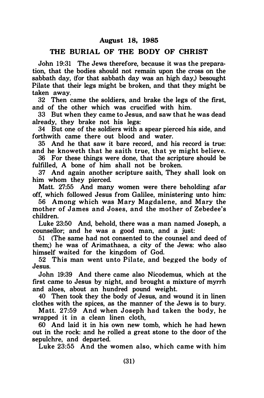### August 18, 1985

### THE BURIAL OF THE BODY OF CHRIST

John 19:31 The Jews therefore, because it was the preparation, that the bodies should not remain upon the cross on the sabbath day, (for that sabbath day was an high day,) besought Pilate that their legs might be broken, and that they might be taken away.

32 Then came the soldiers, and brake the legs of the first, and of the other which was crucified with him.

33 But when they came to Jesus, and saw that he was dead already, they brake not his legs:

34 But one of the soldiers with a spear pierced his side, and forthwith came there out blood and water.

35 And he that saw it bare record, and his record is true: and he knoweth that he saith true, that ye might believe.

36 For these things were done, that the scripture should be fulfilled, A bone of him shall not be broken.

37 And again another scripture saith, They shall look on him whom they pierced.

Matt. 27:55 And many women were there beholding afar off, which followed Jesus from Galilee, ministering unto him:

56 Among which was Mary Magdalene, and Mary the mother of James and Joses, and the mother of Zebedee's children.

Luke 23:50 And, behold, there was a man named Joseph, a counsellor; and he was a good man, and a just:

51 (The same had not consented to the counsel and deed of them;) he was of Arimathaea, a city of the Jews: who also himself waited for the kingdom of God.

52 This man went unto Pilate, and begged the body of Jesus.

John 19:39 And there came also Nicodemus, which at the first came to Jesus by night, and brought a mixture of myrrh and aloes, about an hundred pound weight.

40 Then took they the body of Jesus, and wound it in linen clothes with the spices, as the manner of the Jews is to bury.

Matt. 27:59 And when Joseph had taken the body, he wrapped it in a clean linen cloth,

60 And laid it in his own new tomb, which he had hewn out in the rock: and he rolled a great stone to the door of the sepulchre, and departed.

Luke 23:55 And the women also, which came with him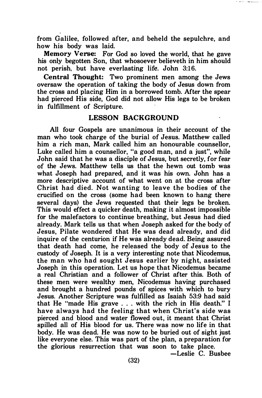from Galilee, followed after, and beheld the sepulchre, and how his body was laid.

Memory Verse: For God so loved the world, that he gave his only begotten Son, that whosoever believeth in him should not perish, but have everlasting life. John 3:16.

Central Thought: Two prominent men among the Jews oversaw the operation of taking the body of Jesus down from the cross and placing Him in a borrowed tomb. After the spear had pierced His side, God did not allow His legs to be broken in fulfillment of Scripture.

#### LESSON BACKGROUND

All four Gospels are unanimous in their account of the man who took charge of the burial of Jesus. Matthew called him a rich man, Mark called him an honourable counsellor, Luke called him a counsellor, "a good man, and a just", while John said that he was a disciple of Jesus, but secretly, for fear of the Jews. Matthew tells us that the hewn out tomb was what Joseph had prepared, and it was his own. John has a more descriptive account of what went on at the cross after Christ had died. Not wanting to leave the bodies of the crucified on the cross (some had been known to hang there several days) the Jews requested that their legs be broken. This would effect a quicker death, making it almost impossible for the malefactors to continue breathing, but Jesus had died already. Mark tells us that when Joseph asked for the body of Jesus, Pilate wondered that He was dead already, and did inquire of the centurion if He was already dead. Being assured that death had come, he released the body of Jesus to the custody of Joseph. It is a very interesting note that Nicodemus, the man who had sought Jesus earlier by night, assisted Joseph in this operation. Let us hope that Nicodemus became a real Christian and a follower of Christ after this. Both of these men were wealthy men, Nicodemus having purchased and brought a hundred pounds of spices with which to bury Jesus. Another Scripture was fulfilled as Isaiah 53:9 had said that He "made His grave . . . with the rich in His death." I have always had the feeling that when Christ's side was pierced and blood and water flowed out, it meant that Christ spilled all of His blood for us. There was now no life in that body. He was dead. He was now to be buried out of sight just like everyone else. This was part of the plan, a preparation for the glorious resurrection that was soon to take place.

-Leslie C. Busbee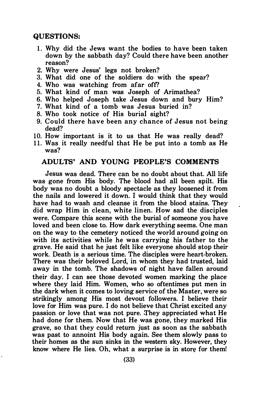### QUESTIONS:

- 1. Why did the Jews want the bodies to have been taken down by the sabbath day? Could there have been another reason?
- 2. Why were Jesus' legs not broken?
- 3. What did one of the soldiers do with the spear?
- 4. Who was watching from afar off?
- 5. What kind of man was Joseph of Arimathea?
- 6. Who helped Joseph take Jesus down and bury Him?
- 7. What kind of a tomb was Jesus buried in?
- 8. Who took notice of His burial sight?
- 9. Could there have been any chance of Jesus not being dead?
- 10. How important is it to us that He was really dead?
- 11. Was it really needful that He be put into a tomb as He was?

### ADULTS' AND YOUNG PEOPLE'S COMMENTS

Jesus was dead. There can be no doubt about that. All life was gone from His body. The blood had all been spilt. His body was no doubt a bloody spectacle as they loosened it from the nails and lowered it down. I would think that they would have had to wash and cleanse it from the blood stains. They did wrap Him in clean, white linen. How sad the disciples were. Compare this scene with the burial of someone you have loved and been close to. How dark everything seems. One man on the way to the cemetery noticed the world around going on with its activities while he was carrying his father to the grave. He said that he just felt like everyone should stop their work. Death is a serious time. The disciples were heart-broken. There was their beloved Lord, in whom they had trusted, laid away in the tomb. The shadows of night have fallen around their day. I can see those devoted women marking the place where they laid Him. Women, who so oftentimes put men in the dark when it comes to loving service of the Master, were so strikingly among His most devout followers. I believe their love for Him was pure. I do not believe that Christ excited any passion or love that was not pure. They appreciated what He had done for them. Now that He was gone, they marked His grave, so that they could return just as soon as the sabbath was past to annoint His body again. See them slowly pass to their homes as the sun sinks in the western sky. However, they know where He lies. Oh, what a surprise is in store for them!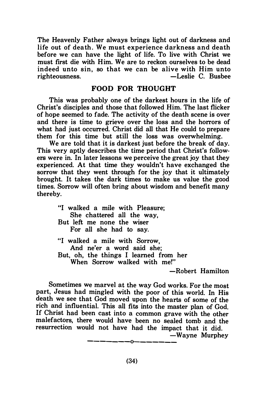The Heavenly Father always brings light out of darkness and life out of death. We must experience darkness and death before we can have the light of life. To live with Christ we must first die with Him. We are to reckon ourselves to be dead indeed unto sin, so that we can be alive with Him unto -Leslie C. Busbee

### FOOD FOR THOUGHT

This was probably one of the darkest hours in the life of Christ's disciples and those that followed Him. The last flicker of hope seemed to fade. The activity of the death scene is over and there is time to grieve over the loss and the horrors of what had just occurred. Christ did all that He could to prepare them for this time but still the loss was overwhelming.

We are told that it is darkest just before the break of day. This very aptly describes the time period that Christ's followers were in. In later lessons we perceive the great joy that they experienced. At that time they wouldn't have exchanged the sorrow that they went through for the joy that it ultimately brought. It takes the dark times to make us value the good times. Sorrow will often bring about wisdom and benefit many thereby.

> "I walked a mile with Pleasure; She chattered all the way, But left me none the wiser For all she had to say. "I walked a mile with Sorrow, And ne'er a word said she; But, oh, the things I learned from her When Sorrow walked with me!"

> > -Robert Hamilton

Sometimes we marvel at the way God works. For the most part, Jesus had mingled with the poor of this world. In His death we see that God moved upon the hearts of some of the rich and influential. This all fits into the master plan of God. If Christ had been cast into a common grave with the other malefactors, there would have been no sealed tomb and the resurrection would not have had the impact that it did. -Wayne Murphey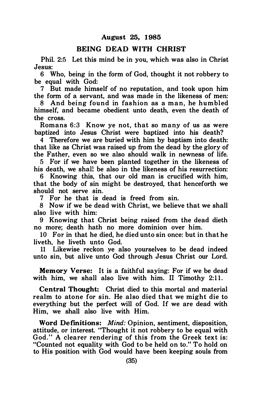### August 25, 1985

### BEING DEAD WITH CHRIST

Phil. 2:5 Let this mind be in you, which was also in Christ Jesus:

6 Who, being in the form of God, thought it not robbery to be equal with God:

7 But made himself of no reputation, and took upon him the form of a servant, and was made in the likeness of men:

8 And being found in fashion as a man, he humbled himself, and became obedient unto death, even the death of the cross.

Romans 6:3 Know ye not, that so many of us as were baptized into Jesus Christ were baptized into his death?

4 Therefore we are buried with him by baptism into death: that like as Christ was raised up from the dead by the glory of the Father, even so we also should walk in newness of life.

5 For if we have been planted together in the likeness of his death, we shal! be also in the likeness of his resurrection:

6 Knowing this, that our old man is crucified with him, that the body of sin might be destroyed, that henceforth we should not serve sin.

7 For he that is dead is freed from sin.

8 Now if we be dead with Christ, we believe that we shall also live with him:

9 Knowing that Christ being raised from the dead dieth no more; death hath no more dominion over him.

10 For in that he died, he died unto sin once: but in that he liveth, he liveth unto God.

11 Likewise reckon ye also yourselves to be dead indeed unto sin, but alive unto God through Jesus Christ our Lord.

Memory Verse: It is a faithful saying: For if we be dead with him, we shall also live with him. II Timothy  $2:11$ .

Central Thought: Christ died to this mortal and material realm to atone for sin. He also died that we might die to everything but the perfect will of God. If we are dead with Him, we shall also live with Him.

Word Definitions: *Mind:* Opinion, sentiment, disposition, attitude, or interest. "Thought it not robbery to be equal with God." A clearer rendering of this from the Greek text is: "Counted not equality with God to be held on to." To hold on to His position with God would have been keeping souls from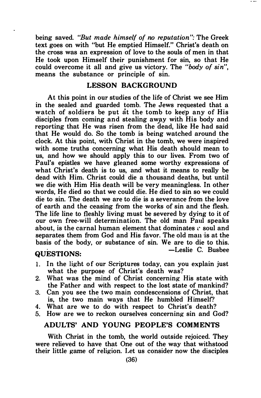being saved. "But made himself of no reputation": The Greek text goes on with "but He emptied Himself." Christ's death on the cross was an expression of love to the souls of men in that He took upon Himself their punishment for sin, so that He could overcome it all and give us victory. The "body of sin", means the substance or principle of sin.

### LESSON BACKGROUND

At this point in our studies of the life of Christ we see Him in the sealed and guarded tomb. The Jews requested that a watch of soldiers be put at the tomb to keep any of His disciples from coming and stealing away with His body and reporting that He was risen from the dead, like He had said that He would do. So the tomb is being watched around the clock. At this point, with Christ in the tomb, we were inspired with some truths concerning what His death should mean to us, and how we should apply this to our lives. From two of Paul's epistles we have gleaned some worthy expressions of what Christ's death is to us, and what it means to really be dead with Him. Christ could die a thousand deaths, but until we die with Him His death will be very meaningless. In other words, He died so that we could die. He died to sin so we could die to sin. The death we are to die is a severance from the love of earth and the ceasing from the works of sin and the flesh. The life line to fleshly living must be severed by dying to it of our own free-will determination. The old man Paul speaks about, is the carnal human element that dominates  $c$  soul and separates them from God and His favor. The old man is at the basis of the body, or substance of sin. We are to die to this.<br> $-$ Leslie C. Bushee

### QUESTIONS:

- 1. In the light of our Scriptures today, can you explain just what the purpose of Christ's death was?
- 2. What was the mind of Christ concerning His state with the Father and with respect to the lost state of mankind?
- 3. Can you see the two main condescensions of Christ, that is, the two main ways that He humbled Himself?
- 4. What are we to do with respect to Christ's death?
- 5. How are we to reckon ourselves concerning sin and God?

### ADULTS' AND YOUNG PEOPLE'S COMMENTS

With Christ in the tomb, the world outside rejoiced. They were relieved to have that One out of the way that withstood their little game of religion. Let us consider now the disciples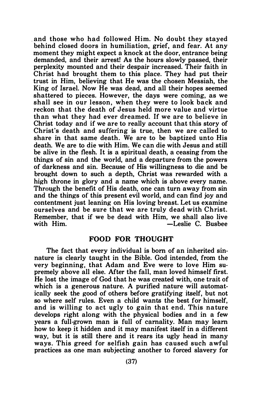and those who had followed Him. No doubt they stayed behind closed doors in humiliation, grief, and fear. At any moment they might expect a knock at the door, entrance being demanded, and their arrest! As the hours slowly passed, their perplexity mounted and their despair increased. Their faith in Christ had brought them to this place. They had put their trust in Him, believing that He was the chosen Messiah, the King of Israel. Now He was dead, and all their hopes seemed shattered to pieces. However, the days were coming, as we shall see in our lesson, when they were to look back and reckon that the death of Jesus held more value and virtue than what they had ever dreamed. If we are to believe in Christ today and if we are to really account that this story of Christ's death and suffering is true, then we are called to share in that same death. We are to be baptized unto His death. We are to die with Him. We can die with Jesus and still be alive in the flesh. It is a spiritual death, a ceasing from the things of sin and the world, and a departure from the powers of darkness and sin. Because of His willingness to die and be brought down to such a depth, Christ was rewarded with a high throne in glory and a name which is above every name. Through the benefit of His death, one can turn away from sin and the things of this present evil world, and can find joy and contentment just leaning on His loving breast. Let us examine ourselves and be sure that we are truly dead with Christ. Remember, that if we be dead with Him, we shall also live -Leslie C. Busbee

#### FOOD FOR THOUGHT

The fact that every individual is born of an inherited sinnature is clearly taught in the Bible. God intended, from the very beginning, that Adam and Eve were to love Him supremely above all else. After the fall, man loved himself first. He lost the image of God that he was created with, one trait of which is a generous nature. A purified nature will automatically seek the good of others before gratifying itself, but not so where self rules. Even a child wants the best for himself, and is willing to act ugly to gain that end. This nature develops right along with the physical bodies and in a few years a full-grown man is full of carnality. Man may learn how to keep it hidden and it may manifest itself in a different way, but it is still there and it rears its ugly head in many ways. This greed for selfish gain has caused such awful practices as one man subjecting another to forced slavery for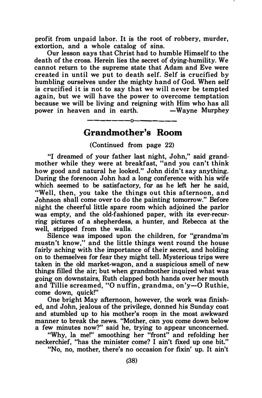profit from unpaid labor. It is the root of robbery, murder, extortion, and a whole catalog of sins.

Our lesson says that Christ had to humble Himself to the death of the cross. Herein lies the secret of dying-humility. We cannot return to the supreme state that Adam and Eve were created in until we put to death self. Self is crucified by humbling ourselves under the mighty hand of God. When self is crucified it is not to say that we will never be tempted again, but we will have the power to overcome temptation because we will be living and reigning with Him who has all power in heaven and in earth.

### -------o------- Grandmother's Room

(Continued from page 22)

"I dreamed of your father last night, John," said grandmother while they were at breakfast, "and you can't think how good and natural he looked." John didn't say anything. During the forenoon John had a long conference with his wife which seemed to be satisfactory, for as he left her he said, "Well, then, you take the things out this afternoon, and Johnson shall come over to do the painting tomorrow." Before night the cheerful little spare room which adjoined the parlor was empty, and the old-fashioned paper, with its ever-recurring pictures of a shepherdess, a hunter, and Rebecca at the well, stripped from the walls.

Silence was imposed upon the children, for "grandma'm mustn't know," and the little things went round the house fairly aching with the importance of their secret, and holding on to themselves for fear they might tell. Mysterious trips were taken in the old market-wagon, and a suspicious smell of new things filled the air; but when grandmother inquired what was going on downstairs, Ruth clapped both hands over her mouth and Tillie screamed, "0 nuffin, grandma, on'y-0 Ruthie, come down, quick!"

One bright May afternoon, however, the work was finished, and John, jealous of the privilege, donned his Sunday coat and stumbled up to his mother's room in the most awkward manner to break the news. "Mother, can you come down below a few minutes now?" said he, trying to appear unconcerned.

"Why, Ia me!" smoothing her "front" and refolding her neckerchief, "has the minister come? I ain't fixed up one bit."

"No, no, mother, there's no occasion for fixin' up. It ain't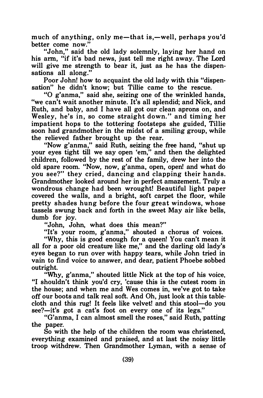much of anything, only me-that is,-well, perhaps you'd better come now."

"John," said the old lady solemnly, laying her hand on his arm, "if it's bad news, just tell me right away. The Lord will give me strength to bear it, just as he has the dispensations all along."

Poor John! how to acquaint the old lady with this "dispensation" he didn't know; but Tillie came to the rescue.

"0 g'anma," said she, seizing one of the wrinkled hands, "we can't wait another minute. It's all splendid; and Nick, and Ruth, and baby, and I have all got our clean aprons on, and Wesley, he's in, so come straight down." and timing her impatient hops to the tottering footsteps she guided, Tillie soon had grandmother in the midst of a smiling group, while the relieved father brought up the rear.

"Now g'anma," said Ruth, seizing the free hand, "shut up your eyes tight till we say open 'em," and then the delighted children, followed by the rest of the family, drew her into the old spare room. "Now, now, g'anma, open, open! and what do you see?" they cried, dancing and clapping their hands. Grandmother looked around her in perfect amazement. Truly a wondrous change had been wrought! Beautiful light paper covered the walls, and a bright, soft carpet the floor, while pretty shades hung before the four great windows, whose tassels swung back and forth in the sweet May air like bells, dumb for joy.

"John, John, what does this mean?"

"It's your room, g'anma," shouted a chorus of voices.

"Why, this is good enough for a queen! You can't mean it all for a poor old creature like me," and the darling old lady's eyes began to run over with happy tears, while John tried in vain to find voice to answer, and dear, patient Phoebe sobbed outright.

"Why, g'anma," shouted little Nick at the top of his voice, "I shouldn't think you'd cry, 'cause this is the cutest room in the house; and when me and Wes comes in, we've got to take off our boots and talk real soft. And Oh, just look at this tablecloth and this rug! It feels like velvet! and this stool-do you  $see?$ —it's got a cat's foot on every one of its legs."

"G'anma, I can almost smell the roses," said Ruth, patting the paper.

So with the help of the children the room was christened, everything examined and praised, and at last the noisy little troop withdrew. Then Grandmother Lyman, with a sense of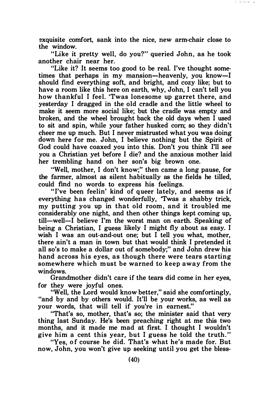exquisite comfort, sank into the nice, new arm-chair close to the window.

**Service School Control** 

"Like it pretty well, do you?" queried John, as he took another chair near her.

"Like it? It seems too good to be real. I've thought sometimes that perhaps in my mansion—heavenly, you know—I should find everything soft, and bright, and cozy like; but to have a room like this here on earth, why, John, I can't tell you how thankful I feel. 'Twas lonesome up garret there, and yesterday I dragged in the old cradle and the little wheel to make it seem more social like; but the cradle was empty and broken, and the wheel brought back the old days when I used to sit and spin, while your father husked corn; so they didn't cheer me up much. But I never mistrusted what you was doing down here for me. John, I believe nothing but the Spirit of God could have coaxed you into this. Don't you think I'll see you a Christian yet before I die? and the anxious mother laid her trembling hand on her son's big brown one.

"Well, mother, I don't know;" then came a long pause, for the farmer, almost as silent habitually as the fields he tilled, could find no words to express his feelings.

"I've been feelin' kind of queer lately, and seems as if everything has changed wonderfully, 'Twas a shabby trick, my putting you up in that old room , and it troubled me considerably one night, and then other things kept coming up, till—well—I believe I'm the worst man on earth. Speaking of being a Christian, I guess likely I might fly about as easy. I wish I was an out-and-out one; but I tell you what, mother, there ain't a man in town but that would think I pretended it all so's to make a dollar out of somebody;" and John drew his hand across his eyes, as though there were tears starting somewhere which must be warned to keep away from the windows.

Grandmother didn't care if the tears did come in her eyes, for they were joyful ones.

"Well, the Lord would know better," said she comfortingly, "and by and by others would. It'll be your works, as well as your words, that will tell if you're in earnest."

"That's so, mother, that's so; the minister said that very thing last Sunday. He's been preaching right at me this two months, and it made me mad at first. I thought I wouldn't give him a cent this year, but I guess he told the truth."

"Yes, of course he did. That's what he's made for. But now, John, you won't give up seeking until you get the bless-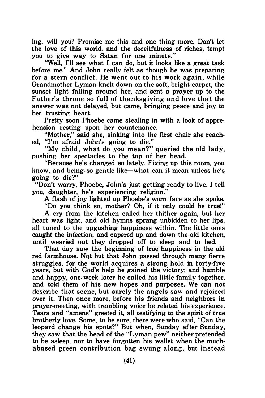ing, will you? Promise me this and one thing more. Don't let the love of this world, and the deceitfulness of riches, tempt you to give way to Satan for one minute."

"Well, I'll see what I can do, but it looks like a great task before me." And John really felt as though he was preparing for a stern conflict. He went out to his work again, while Grandmother Lyman knelt down on the soft, bright carpet, the sunset light falling around her, and sent a prayer up to the Father's throne so full of thanksgiving and love that the answer was not delayed, but came, bringing peace and joy to her trusting heart.

Pretty soon Phoebe came stealing in with a look of apprehension resting upon her countenance.

"Mother," said she, sinking into the first chair she reached. "I'm afraid John's going to die."

"My child, what do you mean?" queried the old lady, pushing her spectacles to the top of her head.

"Because he's changed so lately. Fixing up this room, you know, and being. so gentle like-what can it mean unless he's going to die?"

"Don't worry, Phoebe, John's just getting ready to live. I tell you, daughter, he's experiencing religion."

A flash of joy lighted up Phoebe's worn face as she spoke.

"Do you think so, mother? Oh, if it only could be true!"

A cry from the kitchen called her thither again, but her heart was light, and old hymns sprang unbidden to her lips, all tuned to the upgushing happiness within. The little ones caught the infection, and capered up and down the old kitchen, until wearied out they dropped off to sleep and to bed.

That day saw the beginning of true happiness in the old red farmhouse. Not but that John passed through many fierce struggles, for the world acquires a strong hold in forty-five years, but with God's help he gained the victory; and humble and happy, one week later he called his little family together, and told them of his new hopes and purposes. We can not describe that scene, but surely the angels saw and rejoiced over it. Then once more, before his friends and neighbors in prayer-meeting, with trembling voice he related his experience. Tears and "amens" greeted it, all testifying to the spirit of true brotherly love. Some, to be sure, there were who said, "Can the leopard change his spots?" But when, Sunday after Sunday, they saw that the head of the "Lyman pew" neither pretended to be asleep, nor to have forgotten his wallet when the muchabused green contribution bag swung along, but instead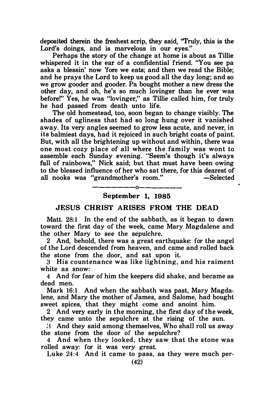deposited therein the freshest scrip, they said, ''Truly, this is the Lord's doings, and is marvelous in our eyes."

Perhaps the story of the change at home is about as Tillie whispered it in the ear of a confidential friend. "You see pa asks a blessin' now 'fore we eats; and then we read the Bible; and he prays the Lord to keep us good all the day long; and so we grow gooder and gooder. Pa bought mother a new dress the other day, and oh, he's so much Iovinger than he ever was before!" Yes, he was "lovinger," as Tillie called him, for truly he had passed from death unto life.

The old homestead, too, soon began to change visibly. The shades of ugliness that had so long hung over it vanished away. Its very angles seemed to grow less acute, and never, in its balmiest days, had it rejoiced in such bright coats of paint. But, with all the brightening up without and within, there was one most cozy place of all where the family was wont to assemble each Sunday evening. "Seem's though it's always full of rainbows." Nick said: but that must have been owing to the blessed influence of her who sat there, for this dearest of all nooks was "grandmother's room." -Selected

#### ——————————————— September 1, 1985

### JESUS CHRIST ARISES FROM THE DEAD

Matt. 28:1 In the end of the sabbath, as it began to dawn toward the first day of the week, came Mary Magdalene and the other Mary to see the sepulchre.

2 And, behold, there was a great earthquake: for the angel of the Lord descended from heaven, and came and rolled back the stone from the door, and sat upon it.

3 His countenance w as like lightning, and his raiment white as snow:

4 And for fear of him the keepers did shake, and became as dead men.

Mark 16:1 And when the sabbath was past, Mary Magdalene, and Mary the mother of James, and Salome, had bought sweet spices, that they might come and anoint him.

2 And very early in the morning, the first day of the week, they came unto the sepulchre at the rising of the sun.

:� And they said among themselves, Who shall roll us away the stone from the door of the sepulchre?

4 And when they looked, they saw that the stone was rolled away: for it was very great.

Luke  $24:4$  And it came to pass, as they were much per-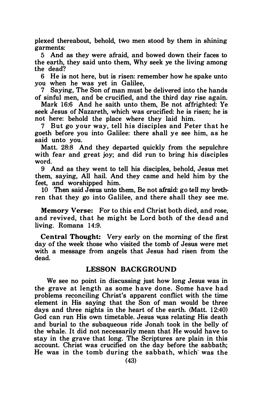plexed thereabout, behold, two men stood by them in shining garments:

5 And as they were afraid, and bowed down their faces to the earth, they said unto them, Why seek ye the living among the dead?

6 He is not here, but is risen: remember how he spake unto you when he was yet in Galilee,

7 Saying, The Son of man must be delivered into the hands of sinful men, and be crucified, and the third day rise again.

Mark 16:6 And he saith unto them, Be not affrighted: Ye seek Jesus of Nazareth, which was crucified: he is risen; he is not here: behold the place where they laid him.

7 But go your way, tell his disciples and Peter that he goeth before you into Galilee: there shall ye see him, as he said unto you.

Matt. 28:8 And they departed quickly from the sepulchre with fear and great joy; and did run to bring his disciples word.

9 And as they went to tell his disciples, behold, Jesus met them, saying, All hail. And they came and held him by the feet, and worshipped him.

10 Then said Jesus unto them, Be not afraid; go tell my breth· ren that they go into Galilee, and there shall they see me.

Memory Verse: For to this end Christ both died, and rose, and revived, that he might be Lord both of the dead and living. Romans 14:9.

Central Thought: Very early on the morning of the first day of the week those who visited the tomb of Jesus were met with a message from angels that Jesus had risen from the dead.

### LESSON BACKGROUND

We see no point in discussing just how long Jesus was in the grave at length as some have done. Some have had problems reconciling Christ's apparent conflict with the time element in His saying that the Son of man would be three days and three nights in the heart of the earth. (Matt. 12:40) God can run His own timetable. Jesus was relating His death and burial to the subaqueous ride Jonah took in the belly of the whale. It did not necessarily mean that He would have to stay in the grave that long. The Scriptures are plain in this account. Christ was crucified on the day before the sabbath; He was in the tomb during the sabbath, which· was the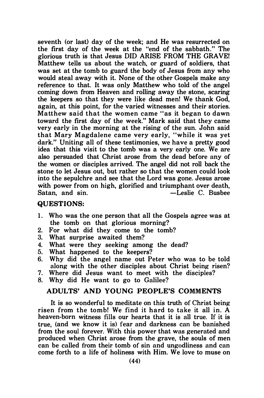seventh (or last) day of the week; and He was resurrected on the first day of the week at the "end of the sabbath." The glorious truth is that Jesus DID ARISE FROM THE GRAVE! Matthew tells us about the watch, or guard of soldiers, that was set at the tomb to guard the body of Jesus from any who would steal away with it. None of the other Gospels make any reference to that. It was only Matthew who told of the angel coming down from Heaven and rolling away the stone, scaring the keepers so that they were like dead men! We thank God, again, at this point, for the varied witnesses and their stories. Matthew said that the women came "as it began to dawn toward the first day of the week." Mark said that they came very early in the morning at the rising of the sun. John said that Mary M agdalene came very early, "while it was yet dark." Uniting all of these testimonies, we have a pretty good idea that this visit to the tomb was a very early one. We are also persuaded that Christ arose from the dead before any of the women or disciples arrived. The angel did not roll back the stone to let Jesus out, but rather so that the women could look into the sepulchre and see that the Lord was gone. Jesus arose with power from on high, glorified and triumphant over death, Satan, and sin. - Ceslie C. Busbee

#### QUESTIONS:

- 1. Who was the one person that all the Gospels agree was at the tomb on that glorious morning?
- 2. For what did they come to the tomb?
- 3. What surprise awaited them?
- 4. What were they seeking among the dead?
- 5. What happened to the keepers?
- 6. Why did the angel name out Peter who was to be told along with the other disciples about Christ being risen?
- 7. Where did Jesus want to meet with the disciples?
- 8. Why did He want to go to Galilee?

### ADULTS' AND YOUNG PEOPLE'S COMMENTS

It is so wonderful to meditate on this truth of Christ being risen from the tomb! We find it hard to take it all in. A heaven-born witness fills our hearts that it is all true. If it is true, (and we know it is) fear and darkness can be banished from the soul forever. With this power that was generated and produced when Christ arose from the grave, the souls of men can be called from their tomb of sin and ungodliness and can come forth to a life of holiness with Him. We love to muse on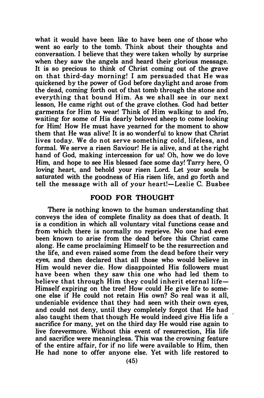what it would have been like to have been one of those who went so early to the tomb. Think about their thoughts and conversation. I believe that they were taken wholly by surprise when they saw the angels and heard their glorious message. It is so precious to think of Christ coming out of the grave on that third-day morning! I am persuaded that He was quickened by the power of God before daylight and arose from the dead, coming forth out of that tomb through the stone and everything that bound Him. As we shall see in our next lesson, He came right out of the grave clothes. God had better garments for Him to wear! Think of Him walking to and fro, waiting for some of His dearly beloved sheep to come looking for Him! How He must have yearned for the moment to show them that He was alive! It is so wonderful to know that Christ lives today. We do not serve something cold, lifeless, and formal. We serve a risen Saviour! He is alive, and at the right hand of God, making intercession for us! Oh, how we do love Him, and hope to see His blessed face some day! Tarry here, 0 loving heart, and behold your risen Lord. Let your souls be saturated with the goodness of His risen life, and go forth and tell the message with all of your heart!-Leslie C. Busbee

#### FOOD FOR THOUGHT

There is nothing known to the human understanding that conveys the idea of complete finality as does that of death. It is a condition in which all voluntary vital functions cease and from which there is normally no reprieve. No one had even been known to arise from the dead before this Christ came along. He came proclaiming Himself to be the resurrection and the life, and even raised some from the dead before their very eyes, and then declared that all those who would believe in Him would never die. How disappointed His followers must have been when they saw this one who had led them to believe that through Him they could inherit eternal life-Himself expiring on the tree! How could He give life to some· one else if He could not retain His own? So real was it all, undeniable evidence that they had seen with their own eyes, and could not deny, until they completely forgot that He had also taught them that though He would indeed give His life a sacrifice for many, yet on the third day He would rise again to live forevermore. Without this event of resurrection, His life and sacrifice were meaningless. This was the crowning feature of the entire affair, for if no life were available to Him, then He had none to offer anyone else. Yet with life restored to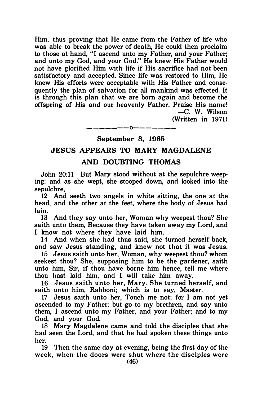Him, thus proving that He came from the Father of life who was able to break the power of death, He could then proclaim to those at hand, "I ascend unto my Father, and your Father; and unto my God, and your God." He knew His Father would not have glorified Him with life if His sacrifice had not been satisfactory and accepted. Since life was restored to Him, He knew His efforts were acceptable with His Father and consequently the plan of salvation for all mankind was effected. It is through this plan that we are born again and become the offspring of His and our heavenly Father. Praise His name! -C. W. Wilson

(Written in 1971)

### ———————0——————— September 8, 1985

### JESUS APPEARS TO MARY MAGDALENE

### AND DOUBTING THOMAS

John 20:11 But Mary stood without at the sepulchre weeping: and as she wept, she stooped down, and looked into the sepulchre,

12 And seeth two angels in white sitting, the one at the head, and the other at the feet, where the body of Jesus had lain.

13 And they say unto her, Woman why weepest thou? She saith unto them, Because they have taken away my Lord, and I know not where they have laid him.

14 And when she had thus said, she turned herself back, and saw Jesus standing, and knew not that it was Jesus.

15 Jesus saith unto her, Woman, why weepest thou? whom seekest thou? She, supposing him to be the gardener, saith unto him, Sir, if thou have borne him hence, tell me where thou hast laid him, and I will take him away.

16 Jesus saith unto her, Mary. She turned herself, and saith unto him, Rabboni; which is to say, Master.

17 Jesus saith unto her, Touch me not; for I am not yet ascended to my Father: but go to my brethren, and say unto them, I ascend unto my Father, and your Father; and to my God, and your God.

18 Mary Magdalene came and told the disciples that she had seen the Lord, and that he had spoken these things unto her.

19 Then the same day at evening, being the first day of the week, when the doors were shut where the disciples were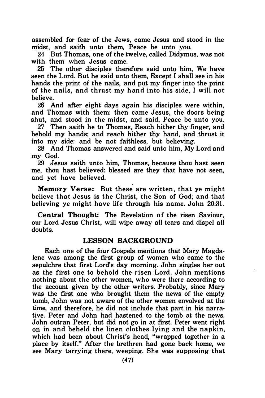assembled for fear of the Jews, came Jesus and stood in the midst, and saith unto them, Peace be unto you.

24 But Thomas, one of the twelve, called Didymus, was not with them when Jesus came.

25 The other disciples therefore said unto him, We have seen the Lord. But he said unto them, Except I shall see in his hands the print of the nails, and put my finger into the print of the n ails, and thrust my hand into his side, I will not believe.

26 And after eight days again his disciples were within, and Thomas with them: then came Jesus, the doors being shut, and stood in the midst, and said, Peace be unto you.

27 Then saith he to Thomas, Reach hither thy finger, and behold my hands; and reach hither thy hand, and thrust it into my side: and be not faithless, but believing.

28 And Thomas answered and said unto him, My Lord and my God.

29 Jesus saith unto him, Thomas, because thou hast seen me, thou hast believed: blessed are they that have not seen, and yet have believed.

Memory Verse: But these are written, that ye might believe that Jesus is the Christ, the Son of God; and that believing ye might have life through his name. John 20:31.

Central Thought: The Revelation of the risen Saviour, our Lord Jesus Christ, will wipe away all tears and dispel all doubts.

### LESSON BACKGROUND

Each one of the four Gospels mentions that Mary Magdalene was among the first group of women who came to the sepulchre that first Lord's day morning. John singles her out as the first one to behold the risen Lord. John mentions nothing about the other women, who were there according to the account given by the other writers. Probably, since Mary was the first one who brought them the news of the empty tomb, John was not aware of the other women envolved at the time, and therefore, he did not include that part in his narrative. Peter and John had hastened to the tomb at the news. John outran Peter, but did not go in at first. Peter went right on in and beheld the linen clothes lying and the napkin, which had been about Christ's head, "wrapped together in a place by itself." After the brethren had gone back home, we see Mary tarrying there, weeping. She was supposing that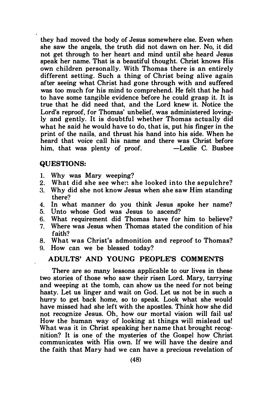they had moved the body of Jesus somewhere else. Even when she saw the angels, the truth did not dawn on her. No, it did not get through to her heart and mind until she heard Jesus speak her name. That is a beautiful thought. Christ knows His own children personally. With Thomas there is an entirely different setting. Such a thing of Christ being alive again after seeing what Christ had gone through with and suffered was too much for his mind to comprehend. He felt that he had to have some tangible evidence before he could grasp it. It is true that he did need that, and the Lord knew it. Notice the Lord's reproof, for Thomas' unbelief, was administered lovingly and gently. It is doubtful whether Thomas actually did what he said he would have to do, that is, put his finger in the print of the nails, and thrust his hand into his side. When he heard that voice call his name and there was Christ before<br>him, that was plenty of proof,  $\qquad$ —Leslie C. Busbee him, that was plenty of proof.

### QUESTIONS:

- 1. Why was Mary weeping?<br>2. What did she see when s
- What did she see when she looked into the sepulchre?
- 3. Why did she not know Jesus when she saw Him standing there?
- 4. In what manner do you think Jesus spoke her name?
- 5. Unto whose God was Jesus to ascend?
- 6. What requirement did Thomas have for him to believe?
- 7. Where was Jesus when Thomas stated the condition of his faith?
- 8. What was Christ's admonition and reproof to Thomas?
- 9. How can we be blessed today?

### ADULTS' AND YOUNG PEOPLE'S COMMENTS

There are so many lessons applicable to our lives in these two stories of those who saw their risen Lord. Mary, tarrying and weeping at the tomb, can show us the need for not being hasty. Let us linger and wait on God. Let us not be in such a hurry to get back home, so to speak. Look what she would have missed had she left with the apostles. Think how she did not recognize Jesus. Oh, how our mortal vision will fail us! How the human way of looking at things will mislead us! What was it in Christ speaking her name that brought recognition? It is one of the mysteries of the Gospel how Christ communicates with His own. If we will have the desire and the faith that Mary had we can have a precious revelation of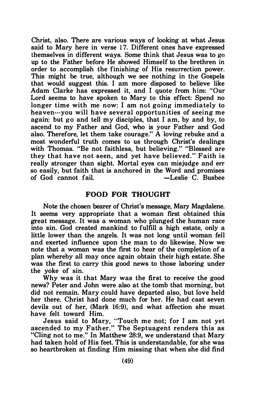Christ, also. There are various ways of looking at what Jesus said to Mary here in verse 17. Different ones have expressed themselves in different ways. Some think that Jesus was to go up to the Father before He showed Himself to the brethren in order to accomplish the finishing of His resurrection power. This might be true, although we see nothing in the Gospels that would suggest this. I am more disposed to believe like Adam Clarke has expressed it, and I quote from him: "Our Lord seems to have spoken to Mary to this effect: Spend no longer time with me now: I am not going immediately to heaven---vou will have several opportunities of seeing me again: but go and tell my disciples, that I am, by and by, to ascend to my Father and God, who is your Father and God also. Therefore, let them take courage." A loving rebuke and a most wonderful truth comes to us through Christ's dealings with Thomas. "Be not faithless, but believing." "Blessed are they that have not seen, and yet have believed." Faith is really stronger than sight. Mortal eyes can misjudge and err so easily, but faith that is anchored in the Word and promises<br>of God cannot fail.  $\begin{array}{cc} -\text{L}e\text{s}$ of God cannot fail.

### FOOD FOR THOUGHT

Note the chosen bearer of Christ's message, Mary Magdalene. It seems very appropriate that a woman first obtained this great message. It was a woman who plunged the human race into sin. God created mankind to fulfill a high estate, only a little lower than the angels. It was not long until woman fell and exerted influence upon the man to do likewise. Now we note that a woman was the first to hear of the completion of a plan whereby all may once again obtain their high estate. She was the first to carry this good news to those laboring under the yoke of sin.

Why was it that Mary was the first to receive the good news? Peter and John were also at the tomb that morning, but did not remain. Mary could have departed also, but love held her there. Christ had done much for her. He had cast seven devils out of her, (Mark 16:9), and what affection she must have felt toward Him.

Jesus said to Mary, "Touch me not; for I am not yet ascended to my Father." The Septuagent renders this as "Cling not to me." In Matthew 28:9, we understand that Mary had taken hold of His feet. This is understandable, for she was so heartbroken at finding Him missing that when she did find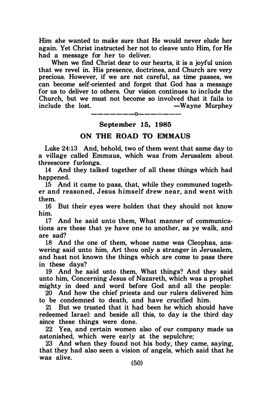Him she wanted to make sure that He would never elude her again. Yet Christ instructed her not to cleave unto Him, for He had a message for her to deliver.

When we find Christ dear to our hearts, it is a joyful union that we revel in. His presence, doctrines, and Church are very precious. However, if we are not careful, as time passes, we can become self-oriented and forget that God has a message for us to deliver to others. Our vision continues to include the Church, but we must not become so involved that it fails to -Wayne Murphey

-------0-------

### September 15, 1985

### ON THE ROAD TO EMMAUS

Luke 24:13 And, behold, two of them went that same day to a village called Emmaus, which was from Jerusalem about threescore furlongs.

14 And they talked together of all these things which had happened.

15 And it came to pass, that, while they communed together and reasoned, Jesus himself drew near, and went with them.

16 But their eyes were holden that they should not know him.

17 And he said unto them, What manner of communications are these that ye have one to another, as ye walk, and are sad?

18 And the one of them, whose name was Cleophas, answering said unto him, Art thou only a stranger in Jerusalem, and hast not known the things which are come to pass there in these days?

19 And he said unto them, What things? And they said unto him, Concerning Jesus of Nazareth, which was a prophet mighty in deed and word before God and all the people:

20 And how the chief priests and our rulers delivered him to be condemned to death, and have crucified him.

21 But we trusted that it had been he which should have redeemed Israel: and beside all this, to day is the third day since these things were done.

22 Yea, and certain women also of our company made us astonished, which were early at the sepulchre;

23 And when they found not his body, they came, saying, that they had also seen a vision of angels, which said that he was alive. (50)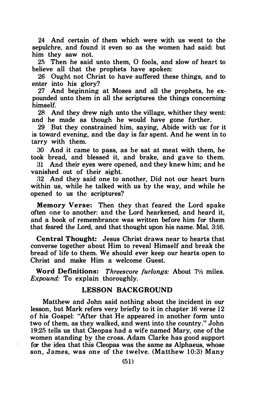24 And certain of them which were with us went to the sepulchre, and found it even so as the women had said: but him they saw not.

25 Then he said unto them, O fools, and slow of heart to believe all that the prophets have spoken:

26 Ought not Christ to have suffered these things, and to enter into his glory?

27 And beginning at Moses and all the prophets, he expounded unto them in all the scriptures the things concerning himself.

28 And they drew nigh unto the village, whither they went: and he made as though he would have gone further.

29 But they constrained him, saying, Abide with us: for it is toward evening, and the day is far spent. And he went in to tarry with them.

30 And it came to pass, as he sat at meat with them, he took bread, and blessed it, and brake, and gave to them.

31 And their eyes were opened, and they knew him; and he vanished out of their sight.

32 And they said one to another, Did not our heart burn within us, while he talked with us by the way, and while he opened to us the scriptures?

Memory Verse: Then they that feared the Lord spake often one to another: and the Lord hearkened, and heard it, and a book of remembrance was written before him for them that feared the Lord, and that thought upon his name. Mal. 3:16.

Central Thought: Jesus Christ draws near to hearts that converse together about Him to reveal Himself and break the bread of life to them. We should ever keep our hearts open to Christ and make Him a welcome Guest.

Word Definitions: Threescore furlongs: About  $7\frac{1}{2}$  miles. Expound: To explain thoroughly.

### LESSON BACKGROUND

Matthew and John said nothing about the incident in our lesson, but Mark refers very briefly to it in chapter 16 verse 12 of his Gospel: "After that He appeared in another form unto two of them, as they walked, and went into the country." John 1 9:25 tells us that Cleopas had a wife named Mary, one of the women standing by the cross. Adam Clarke has good support for the idea that this Cleopas was the same as Alphaeus, whose son, James, was one of the twelve. (Matthew 10:3) Many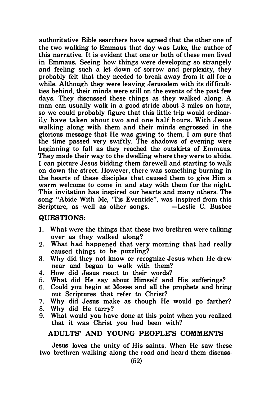authoritative Bible searchers have agreed that the other one of the two walking to Emmaus that day was Luke, the author of this narrative. It is evident that one or both of these men lived in Emmaus. Seeing how things were developing so strangely and feeling such a let down of sorrow and perplexity, they probably felt that they needed to break away from it all for a while. Although they were leaving Jerusalem with its difficultties behind, their minds were still on the events of the past few days. They discussed these things as they walked along. A man can usually walk in a good stride about 3 miles an hour, so we could probably figure that this little trip would ordinarily have taken about two and one half hours. With Jesus walking along with them and their minds engrossed in the glorious message that He was giving to them, I am sure that the time passed very swiftly. The shadows of evening were beginning to fall as they reached the outskirts of Emmaus. They made their way to the dwelling where they were to abide. I can picture Jesus bidding them farewell and starting to walk on down the street. However, there was something burning in the hearts of these disciples that caused them to give Him a warm welcome to come in and stay with them for the night. This. invitation has inspired our hearts and many others. The song "Abide With Me, Tis Eventide", was inspired from this Scripture, as well as other songs.  $\qquad$  -Leslie C. Busbee Scripture, as well as other songs.

### QUEsriONS:

- 1. What were the things that these two brethren were talking over as they walked along?
- 2. What had happened that very morning that had really caused things to be puzzling?
- 3. Why did they not know or recognize Jesus when He drew near and began to walk with them?
- 4. How did Jesus react to their words?
- 5. What did He say about Himself and His sufferings?
- 6. Could you begin at Moses and all the prophets and bring out Scriptures that refer to Christ?
- 7. Why did Jesus make as though He would go farther?
- 8. Why did He tarry?
- 9. What would you have done at this point when you realized that it was Christ you had been with?

### ADULTS' AND YOUNG PEOPLE'S COMMENTS

Jesus loves the unity of His saints. When He saw these two brethren walking along the road and heard them discuss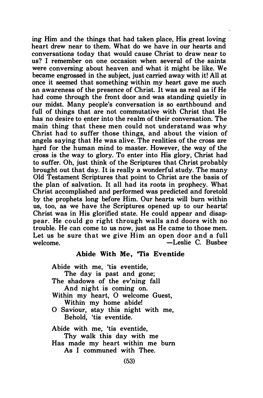ing Him and the things that had taken place, His great loving heart drew near to them. What do we have in our hearts and conversations today that would cause Christ to draw near to us? I remember on one occasion when several of the saints were conversing about heaven and what it might be like. We became engrossed in the subject, just carried away with it! All at once it seemed that something within my heart gave me such an awareness of the presence of Christ. It was as real as if He had come through the front door and was standing quietly in our midst. Many people's conversation is so earthbound and full of things that are not commutative with Christ that He has no desire to enter into the realm of their conversation. The main thing that these men could not understand was why Christ had to suffer those things, and about the vision of angels saying that He was alive. The realities of the cross are hard for the human mind to master. However, the way of the cross is the way to glory. To enter into His glory, Christ had to suffer. Oh, just think of the Scriptures that Christ probably brought out that day. It is really a wonderful study. The many Old Testament Scriptures that point to Christ are the basis of the plan of salvation. It all had its roots in prophecy. What Christ accomplished and performed was predicted and foretold by the prophets long before Him. Our hearts will burn within us, too, as we have the Scriptures opened up to our hearts! Christ was in His glorified state. He could appear and disap. pear. He could go right through walls and doors with no trouble. He can come to us now, just as He came to those men. Let us be sure that we give Him an open door and a full welcome.  $\qquad \qquad -$ Leslie C. Busbee

#### Abide With Me, 'Tis Eventide

Abide with me, 'tis eventide,

The day is past and gone; The shadows of the ev'ning fall

And night is coming on.

Within my heart, 0 welcome Guest, Within my home abide!

0 Saviour, stay this night with me, Behold, 'tis eventide.

Abide with me, 'tis eventide,

Thy walk this day with me

Has made my heart within me bum

As I communed with Thee.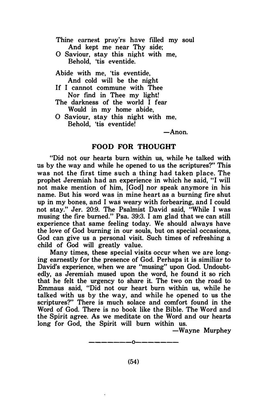Thine earnest pray'rs have filled my soul And kept me near Thy side; 0 Saviour, stay this night with me, Behold, 'tis eventide. Abide with me, 'tis eventide, And cold will be the night If I cannot commune with Thee Nor find in Thee my light! The darkness of the world I fear Would in my home abide, 0 Saviour, stay this night with me, Behold, 'tis eventide!

 $-$ Anon.

#### FOOD FOR THOUGHT

"Did not our hearts burn within us, while he talked with us by the way and while he opened to us the scriptures?" This was not the first time such a thing had taken place. The prophet Jeremiah had an experience in which he said, "I will not make mention of him. [God] nor speak anymore in his name. But his word was in mine heart as a burning fire shut up in my bones, and I was weary with forbearing, and I could not stay." Jer. 20:9. The Psalmist David said, "While I was musing the fire burned." Psa. 39:3. I am glad that we can still experience that same feeling today. We should always have the love of God burning in our souls, but on special occasions, God can give us a personal visit. Such times of refreshing a child of God will greatly value.

Many times, these special visits occur when we are longing earnestly for the presence of God. Perhaps it is similiar to David's experience, when we are "musing" upon God. Undoubtedly, as Jeremiah mused upon the word, he found it so rich that he felt the urgency to share it. The two on the road to Emmaus said, "Did not our heart burn within us, while he talked with us by the way, and while he opened to us the scriptures?" There is much solace and comfort found in the Word of God. There is no book like the Bible. The Word and the Spirit agree. As we meditate on the Word and our hearts long for God, the Spirit will bum within us.

-Wayne Murphey

-------0-------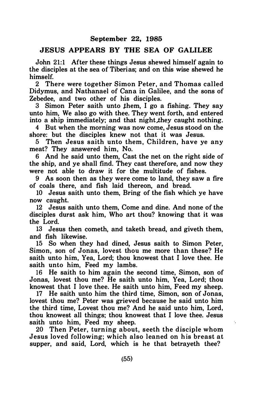### September 22, 1985

### JESUS APPEARS BY THE SEA OF GALILEE

John 21:1 After these things Jesus shewed himself again to the disciples at the sea of Tiberias; and on this wise shewed he himself.

2 There were together Simon Peter, and Thomas called Didymus, and Nathanael of Cana in Galilee, and the sons of Zebedee, and two other of his disciples.

3 Simon Peter saith unto them, I go a fishing. They say unto him, We also go with thee. They went forth, and entered into a ship immediately; and that night they caught nothing.

4 But when the morning was now come, Jesus stood on the shore: but the disciples knew not that it was Jesus.

5 Then Jesus saith unto them, Children, have ye any meat? They answered him, No.

6 And he said unto them, Cast the net on the right side of the ship, and ye shall find. They cast therefore, and now they were not able to draw it for the multitude of fishes.

9 As soon then as they were come to land, they saw a fire of coals there, and fish laid thereon, and bread.

10 Jesus saith unto them, Bring of the fish which ye have now caught.

12 Jesus saith unto them, Come and dine. And none of the disciples durst ask him, Who art thou? knowing that it was the Lord.

13 Jesus then cometh, and taketh bread, and giveth them, and fish likewise.

15 So when they had dined, Jesus saith to Simon Peter, Simon, son of Jonas, lovest thou me more than these? He saith unto him, Yea, Lord; thou knowest that I love thee. He saith unto him, Feed my lambs.

16 He saith to him again the second time, Simon, son of Jonas, lovest thou me? He saith unto him, Yea, Lord; thou knowest that I love thee. He saith unto him, Feed my sheep.

17 He saith unto him the third time, Simon, son of Jonas, lovest thou me? Peter was grieved because he said unto him the third time, Lovest thou me? And he said unto him, Lord, thou knowest all things; thou knowest that I love thee. Jesus saith unto him, Feed my sheep.

Ä,

20 Then Peter, turning about, seeth the disciple whom Jesus loved following; which also leaned on his breast at supper, and said, Lord, which is he that betrayeth thee?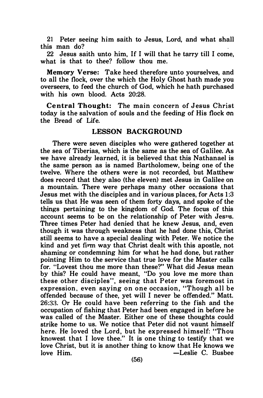21 Peter seeing him saith to Jesus, Lord, and what shall this man do?

22 Jesus saith unto him, If I will that he tarry till I come, what is that to thee? follow thou me.

Memory Verse: Take heed therefore unto yourselves, and to all the flock, over the which the Holy Ghost hath made you overseers, to feed the church of God, which he hath purchased with his own blood. Acts 20:28.

Central Thought: The main concern of Jesus Christ today is the salvation of souls and the feeding of His flock on the Bread of Life.

### LESSON BACKGROUND

There were seven disciples who were gathered together at the sea of Tiberias, which is the same as the sea of Galilee. As we have already learned, it is believed that this Nathanael is the same person as is named Bartholomew, being one of the twelve. Where the others were is not recorded, but Matthew does record that they also (the eleven) met Jesus in Galilee on a mountain. There were perhaps many other occasions that Jesus met with the disciples and in various places, for Acts 1 :3 tells us that He was seen of them forty days, and spoke of the things pertaining to the kingdom of God. The focus of this account seems to be on the relationship of Peter with Jesns. Three times Peter had denied that he knew Jesus, and, even though it was through weakness that he had done this, Christ still seems to have a special dealing with Peter. We notice the kind and yet firm way that Christ dealt with this apostle, not shaming or condemning him for what he had done, but rather pointing Him to the service that true love for the Master calls for. "Lovest thou me more than these?" What did Jesus mean by this? He could have meant, "Do you love me more than these other disciples", seeing that Peter was foremost in expression, even saying on one occasion, "Though all be offended because of thee, yet will I never be offended." Matt. 26::3a. Or He could have been referring to the fish and the occupation of fishing that Peter had been engaged in before he was called of the Master. Either one of these thoughts could strike home to us. We notice that Peter did not vaunt himself here. He loved the Lord, but he expressed himself: "Thou knowest that I love thee." It is one thing to testify that we love Christ, but it is another thing to know that He knows we love Him.  $\qquad \qquad -$ Leslie C. Busbee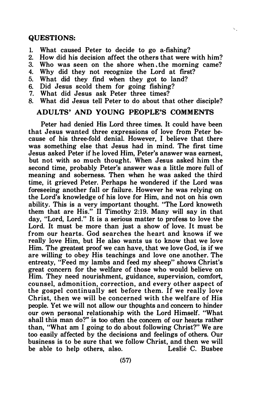### QUESTIONS:

- 1. What caused Peter to decide to go a-fishing?
- 2. How did his decision affect the others that were with him?<br>3. Who was seen on the shore when the morning came?

s,

- Who was seen on the shore when the morning came?
- 4. Why did they not recognize the Lord at frrst?
- 5. What did they find when they got to land?
- 6. Did Jesus scold them for going fishing?<br>7. What did Jesus ask Peter three times?
- What did Jesus ask Peter three times?
- 8. What did Jesus tell Peter to do about that other disciple?

### ADULTS' AND YOUNG PEOPLE'S COMMENTS

Peter had denied His Lord three times. It could have been that Jesus wanted three expressions of love from Peter because of his three-fold denial. However, I believe that there was something else that Jesus had in mind. The first time Jesus asked Peter if he loved Him, Peter's answer was earnest, but not with so much thought. When Jesus asked him the second time, probably Peter's answer was a little more full of meaning and soberness. Then when he was asked the third time, it grieved Peter. Perhaps he wondered if the Lord was foreseeing another fall or failure. However he was relying on the Lord's knowledge of his love for Him, and not on his own ability. This is a very important thought. "The Lord knoweth them that are His." II Timothy 2:19. Many will say in that day, "Lord, Lord." It is a serious matter to profess to love the Lord. It must be more than just a show of love. It must be from our hearts. God searches the heart and knows if we really love Him, but He also wants us to know that we love Him. The greatest proof we can have, that we love God, is if we are willing to obey His teachings and love one another. The entreaty, "Feed my lambs and feed my sheep" shows Christ's great concern for the welfare of those who would believe on Him. They need nourishment, guidance, supervision, comfort, counsel, admonition, correction, and every other aspect of the gospel continually set before them. If we really love Christ, then we will be concerned with the welfare of His people. Yet we will not allow our thoughts and concern to hinder our own personal relationship with the Lord Himself. "What shall this man do?" is too often the concern of our hearts rather than, "What am I going to do about following Christ?" We are too easily affected by the decisions and feelings of others. Our business is to be sure that we follow Christ, and then we will<br>be able to belp others, also. [[esting] Lesling C. Bushee be able to help others, also.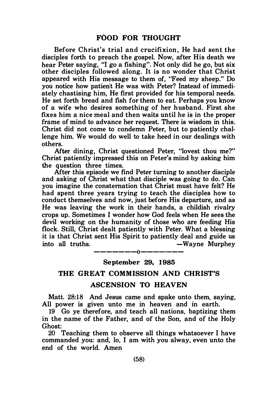Before Christ's trial and crucifixion. He had sent the disciples forth to preach the gospel. Now, after His death we hear Peter saying, "I go a fishing". Not only did he go, but six other disciples followed along. It is no wonder that Christ appeared with His message to them of, "Feed my sheep." Do you notice how patient He was with Peter? Instead of immediately chastising him, He first provided for his temporal needs. He set forth bread and fish for them to eat. Perhaps you know of a wife who desires something of her husband. First she fixes him a nice meal and then waits until he is in the proper frame of mind to advance her request. There is wisdom in this. Christ did not come to condemn Peter, but to patiently challenge him. We would do well to take heed in our dealings with others.

After dining, Christ questioned Peter, "lovest thou me?" Christ patiently impressed this on Peter's mind by asking him the question three times.

After this episode we find Peter turning to another disciple and asking of Christ what that disciple was going to do. Can you imagine the consternation that Christ must have felt? He had spent three years trying to teach the disciples how to conduct themselves and now, just before His departure, and as He was leaving the work in their hands, a childish rivalry crops up. Sometimes I wonder how God feels when He sees the devil working on the humanity of those who are feeding His flock. Still, Christ dealt patiently with Peter. What a blessing it is that Christ sent His Spirit to patiently deal and guide us into all truths.  $-Wavne$  Murphey

-------0-------

#### September 29, 1985

### THE GREAT COMMISSION AND CHRIST'S

### ASCENSION TO HEAVEN

Matt. 28:18 And Jesus came and spake unto them, saying, All power is given unto me in heaven and in earth.

19 Go ye therefore, and teach all nations, baptizing them in the name of the Father, and of the Son, and of the Holy Ghost:

20 Teaching them to observe all things whatsoever I have commanded you: and, lo, I am with you alway, even unto the end of the world. Amen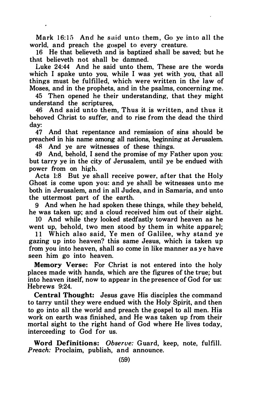Mark 16:15 And he said unto them, Go ve into all the world, and preach the gospel to every creature.

16 He that believeth and is baptized shall be saved; but he that believeth not shall be damned.

Luke 24:44 And he said unto them, These are the words which I spake unto you, while I was yet with you, that all things must be fulfilled, which were written in the law of Moses, and in the prophets, and in the psalms, concerning me.

45 Then opened he their understanding, that they might understand the scriptures,

46 And said unto them, Thus it is written, and thus it behoved Christ to suffer, and to rise from the dead the third day:

47 And that repentance and remission of sins should be preached in his name among all nations, beginning at Jerusalem.

48 And ye are witnesses of these things.

49 And, behold, I send the promise of my Father upon you: but tarry ye in the city of Jerusalem, until ye be endued with power from on high.

Acts 1:8 But ye shall receive power, after that the Holy Ghost is come upon you: and ye shall be witnesses unto me both in Jerusalem, and in all Judea, and in Samaria, and unto the uttermost part of the earth.

9 And when he had spoken these things, while they beheld, he was taken up; and a cloud received him out of their sight.

10 And while they looked stedfastly toward heaven as he went up, behold, two men stood by them in white apparel;

11 Which also said, Ye men of Galilee, why stand ye gazing up into heaven? this same Jesus, which is taken up from you into heaven, shall so come in like manner as ye have seen him go into heaven.

Memory Verse: For Christ is not entered into the holy places made with hands, which are the figures of the true; but into heaven itself, now to appear in the presence of God for us: Hebrews 9:24.

Central Thought: Jesus gave His disciples the command to tarry until they were endued with the Holy Spirit, and then to go into all the world and preach the gospel to all men. His work on earth was finished, and He was taken up from their mortal sight to the right hand of God where He lives today, interceeding to God for us.

Word Definitions: Observe: Guard, keep, note, fulfill. Preach: Proclaim, publish, and announce.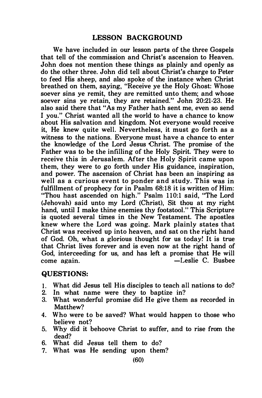### LESSON BACKGROUND

We have included in our lesson parts of the three Gospels that tell of the commission and Christ's ascension to Heaven. John does not mention these things as plainly and openly as do the other three. John did tell about Christ's charge to Peter to feed His sheep, and also spoke of the instance when Christ breathed on them, saying, "Receive ye the Holy Ghost: Whose soever sins ye remit, they are remitted unto them; and whose soever sins ye retain, they are retained." John 20:21-23. He also said there that "As my Father hath sent me, even so send I you." Christ wanted all the world to have a chance to know about His salvation and kingdom. Not everyone would receive it, He knew quite well. Nevertheless, it must go forth as a witness to the nations. Everyone must have a chance to enter the knowledge of the Lord Jesus Christ. The promise of the Father was to be the infilling of the Holy Spirit. They were to receive this in Jerusalem. After the Holy Spirit came upon them, they were to go forth under His guidance, inspiration, and power. The ascension of Christ has been an inspiring as well as a curious event to ponder and study. This was in fulfillment of prophecy for in Psalm 68:18 it is written of Him: "Thou hast ascended on high." Psalm 110:1 said, "The Lord (Jehovah) said unto my Lord (Christ), Sit thou at my right hand, until I make thine enemies thy footstool." This Scripture is quoted several times in the New Testament. The apostles knew where the Lord was going. Mark plainly states that Christ was received up into heaven, and sat on the right hand of God. Oh, what a glorious thought for us today! It is true that Christ lives forever and is even now at the right hand of God, interceeding for us, and has left a promise that He will come again.  $\qquad \qquad -$ Leslie C. Busbee

#### QUESTIONS:

- 1. What did Jesus tell His disciples to teach all nations to do?
- In what name were they to baptize in?
- 3. What wonderful promise did He give them as recorded in Matthew?
- 4. Who were to be saved? What would happen to those who believe not?
- 5. Why did it behoove Christ to suffer, and to rise from the dead?
- 6. What did Jesus tell them to do?
- 7. What was He sending upon them?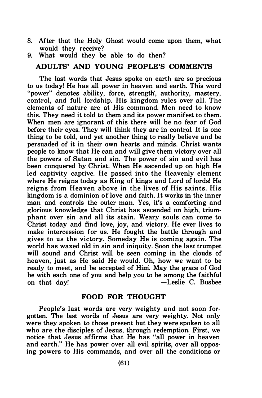- 8. After that the Holy Ghost would come upon them, what would they receive?
- 9. What would they be able to do then?

### ADULTS' AND YOUNG PEOPLE'S COMMENTS

The last words that Jesus spoke on earth are so precious to us today! He has all power in heaven and earth. This word "power" denotes ability, force, strength', authority, mastery, control, and full lordship. His kingdom rules over all. The elements of nature are at His command. Men need to know this. They need it told to them and its power manifest to them. When men are ignorant of this there will be no fear of God before their eyes. They will think they are in control. It is one thing to be told, and yet another thing to really believe and be persuaded of it in their own hearts and minds. Christ wants people to know that He can and will give them victory over all the powers of Satan and sin. The power of sin and evil has been conquered by Christ. When He ascended up on high He led captivity captive. He passed into the Heavenly element where He reigns today as King of kings and Lord of lords! He reigns from Heaven above in the lives of His saints. His kingdom is a dominion of love and faith. It works in the inner man and controls the outer man. Yes, it's a comforting and glorious knowledge that Christ has ascended on high, triumphant over sin and all its stain. Weary souls can come to Christ today and find love, joy, and victory. He ever lives to make intercession for us. He fought the battle through and gives to us the victory. Someday He is coming again. The world has waxed old in sin and iniquity. Soon the last trumpet will sound and Christ will be seen coming in the clouds of heaven, just as He said He would. Oh, how we want to be ready to meet, and be accepted of Him. May the grace of God be with each one of you and help you to be among the faithful on that day! -Leslie C. Busbee

### FOOD FOR THOUGHT

People's last words are very weighty and not soon forgotten. The last words of Jesus are very weighty. Not only were they spoken to those present but they were spoken to all who are the disciples of Jesus, through redemption. First, we notice that Jesus affirms that He has "all power in heaven and earth." He has power over all evil spirits, over all opposing powers to His commands, and over all the conditions or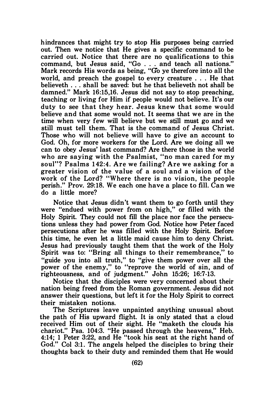hindrances that might try to stop His purposes being carried out. Then we notice that He gives a specific command to be carried out. Notice that there are no qualifications to this command, but Jesus said, "Go . . . and teach all nations." Mark records His words as being, "Go ye therefore into all the world, and preach the gospel to every creature ... He that believeth ... shall be saved: but he that believeth not shall be damned." Mark 16:15,16. Jesus did not say to stop preaching, teaching or living for Him if people would not believe. It's our duty to see that they hear. Jesus knew that some would believe and that some would not. It seems that we are in the time when very few will believe but we still must go and we still must tell them. That is the command of Jesus Christ. Those who will not believe will have to give an account to God. Oh, for more workers for the Lord. Are we doing all we can to obey Jesus' last command? Are there those in the world who are saying with the Psalmist, "no man cared for my soul"? Psalms 142:4. Are we failing? Are we asking for a greater vision of the value of a soul and a vision of the work of the Lord? "Where there is no vision, the people perish." Prov. 29:18. We each one have a place to fill. Can we do a little more?

Notice that Jesus didn't want them to go forth until they were "endued with power from on high," or filled with the Holy Spirit. They could not fill the place nor face the persecutions unless they had power from God. Notice how Peter faced persecutions after he was filled with the Holy Spirit. Before this time, he even let a little maid cause him to deny Christ. Jesus had previously taught them that the work of the Holy Spirit was to: "Bring all things to their remembrance," to "guide you into all truth," to "give them power over all the power of the enemy," to "reprove the world of sin, and of righteousness, and of judgment." John 15:26; 16:7-13.

Notice that the disciples were very concerned about their nation being freed from the Roman government. Jesus did not answer their questions, but left it for the Holy Spirit to correct their mistaken notions.

The Scriptures leave unpainted anything unusual about the path of His upward flight. It is only stated that a cloud received Him out of their sight. He "maketh the clouds his chariot." Psa. 104:3. "He passed through the heavens," Heb. 4: 14; 1 Peter 3:22, and He "took his seat at the right hand of God." Col 3:1. The angels helped the disciples to bring their thoughts back to their duty and reminded them that He would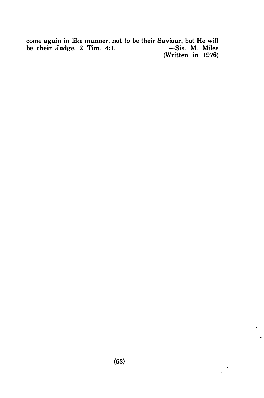come again in like manner, not to be their Saviour, but He will be their Judge.  $2$  Tim.  $4:1$ .  $\sim$  Sis. M. Miles -Sis. M. Miles<br>(Written in 1976)

 $\mathcal{L}^{\mathcal{L}}$ 

 $\cdot$ 

l.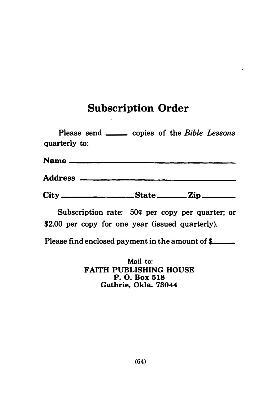# Subscription Order

 $\epsilon$ 

| Please send <u>each</u> copies of the Bible Lessons<br>quarterly to: |  |  |  |
|----------------------------------------------------------------------|--|--|--|
|                                                                      |  |  |  |
|                                                                      |  |  |  |
|                                                                      |  |  |  |

Subscription rate: 50¢ per copy per quarter; or \$2.00 per copy for one year (issued quarterly).

Please find enclosed payment in the amount of  $\mathcal{L}$ 

Mail to: FAITH PUBLISHING HOUSE P. 0. Box 518 Guthrie, Okla. 73044